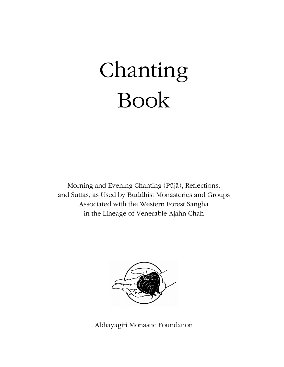# Chanting Book

Morning and Evening Chanting (Pūjā), Reflections, and Suttas, as Used by Buddhist Monasteries and Groups Associated with the Western Forest Sangha in the Lineage of Venerable Ajahn Chah



Abhayagiri Monastic Foundation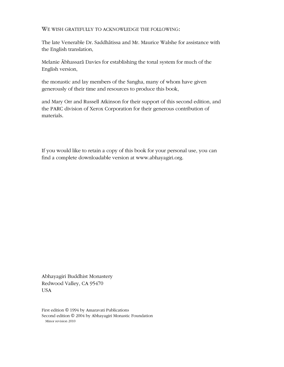WE WISH GRATEFULLY TO ACKNOWLEDGE THE FOLLOWING:

The late Venerable Dr. Saddhātissa and Mr. Maurice Walshe for assistance with the English translation,

Melanie Abhassarā Davies for establishing the tonal system for much of the English version,

the monastic and lay members of the Sangha, many of whom have given generously of their time and resources to produce this book,

and Mary Orr and Russell Atkinson for their support of this second edition, and the PARC division of Xerox Corporation for their generous contribution of materials.

If you would like to retain a copy of this book for your personal use, you can find a complete downloadable version at www.abhayagiri.org.

Abhayagiri Buddhist Monastery Redwood Valley, CA 95470 USA

First edition © 1994 by Amaravati Publications Second edition © 2004 by Abhayagiri Monastic Foundation Minor revision 2010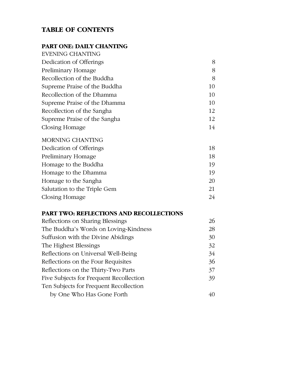# **TABLE OF CONTENTS**

# **PART ONE: DAILY CHANTING**

| <b>EVENING CHANTING</b>      |    |
|------------------------------|----|
| Dedication of Offerings      | 8  |
| Preliminary Homage           | 8  |
| Recollection of the Buddha   | 8  |
| Supreme Praise of the Buddha | 10 |
| Recollection of the Dhamma   | 10 |
| Supreme Praise of the Dhamma | 10 |
| Recollection of the Sangha   | 12 |
| Supreme Praise of the Sangha | 12 |
| Closing Homage               | 14 |

### MORNING CHANTING

| Dedication of Offerings      | 18 |
|------------------------------|----|
| Preliminary Homage           | 18 |
| Homage to the Buddha         | 19 |
| Homage to the Dhamma         | 19 |
| Homage to the Sangha         | 20 |
| Salutation to the Triple Gem | 21 |
| Closing Homage               | 24 |
|                              |    |

# **PART TWO: REFLECTIONS AND RECOLLECTIONS**

| Reflections on Sharing Blessings        | 26 |
|-----------------------------------------|----|
| The Buddha's Words on Loving-Kindness   | 28 |
| Suffusion with the Divine Abidings      | 30 |
| The Highest Blessings                   | 32 |
| Reflections on Universal Well-Being     | 34 |
| Reflections on the Four Requisites      | 36 |
| Reflections on the Thirty-Two Parts     | 37 |
| Five Subjects for Frequent Recollection | 39 |
| Ten Subjects for Frequent Recollection  |    |
| by One Who Has Gone Forth               |    |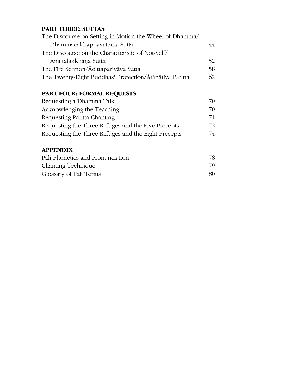# **PART THREE: SUTTAS**

| The Discourse on Setting in Motion the Wheel of Dhamma/ |    |
|---------------------------------------------------------|----|
| Dhammacakkappavattana Sutta                             | 44 |
| The Discourse on the Characteristic of Not-Self/        |    |
| Anattalakkhana Sutta                                    | 52 |
| The Fire Sermon/Adittapariyaya Sutta                    | 58 |
| The Twenty-Eight Buddhas' Protection/Āṭānāṭiya Paritta  | 62 |
|                                                         |    |

# **PART FOUR: FORMAL REQUESTS**

| Requesting a Dhamma Talk                            | 70 |
|-----------------------------------------------------|----|
| Acknowledging the Teaching                          | 70 |
| Requesting Paritta Chanting                         | 71 |
| Requesting the Three Refuges and the Five Precepts  | 72 |
| Requesting the Three Refuges and the Eight Precepts | 74 |

# **APPENDIX**

| Pali Phonetics and Pronunciation | 78 |
|----------------------------------|----|
| Chanting Technique               | 79 |
| Glossary of Pali Terms           | 80 |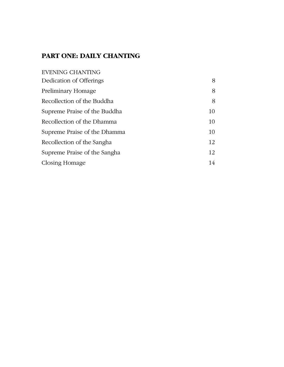# **PART ONE: DAILY CHANTING**

| <b>EVENING CHANTING</b>      |    |
|------------------------------|----|
| Dedication of Offerings      | 8  |
| Preliminary Homage           | 8  |
| Recollection of the Buddha   | 8  |
| Supreme Praise of the Buddha | 10 |
| Recollection of the Dhamma   | 10 |
| Supreme Praise of the Dhamma | 10 |
| Recollection of the Sangha   | 12 |
| Supreme Praise of the Sangha | 12 |
| Closing Homage               | 14 |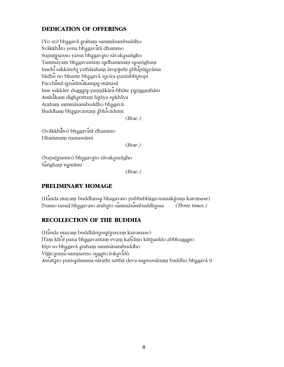# **DEDICATION OF OFFERINGS**

(Yo so) bhagavā arahaṃ sammāsambuddho Svākkhāto yena bhagavatā dhammo Supatipanno yassa bhagavato sāvakasangho Tammayam bhagavantam sadhammam sasangham Imehi sakkārehi yathāraham āropitehi abhipūjayāma Sādhu no bhante bhagavā sucira-parinibbutopi Pacchimā-janatānukampa-mānasā Ime sakkāre duggata-paņņākāra-bhūte paṭiggaṇhātu Amhā̄kaṃ dīgharattaṃ hitāya sukhāya Araham sammāsambuddho bhagavā Buddham bhagavantam abhivademi

*(Bow.)*

(Svākkhāto) bhagavatā dhammo Dhammam namassāmi

*(Bow.)*

(Supaṭipanno) bha̯gavato sāvakḁsaṅgho Sangham namāmi

*(Bow.)*

#### **PRELIMINARY HOMAGE**

(Handa mayaṃ buddhassa bhagavato pubbabhāga-namakāraṃ karomase) [Namo tassa] bh÷agavato arah÷ato s×ammæs×ambuddh÷assa *(Three times.)*

#### **RECOLLECTION OF THE BUDDHA**

(Handa mayam buddhānussatinayam karomase) [Tam kho] pana bhagavantam evam kalyano kittisaddo abbhuggato Itipi so bhagavā araham sammāsambuddho Vijjācaraņa-sampanno sugato lokavidū Anuttaro purisadamma-sārathi satthā deva-manussānam buddho bhagavā ti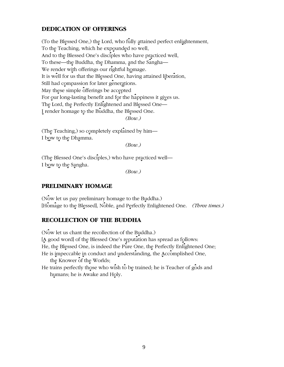# **DEDICATION OF OFFERINGS**

(To the Blessed One,) the Lord, who fully attained perfect enlightenment, To the Teaching, which he expounded so well, And to the Blessed One's disciples who have practiced well, To these—the Buddha, the Dhamma, and the Sangha— We render with offerings our rightful homage. It is well for us that the Blessed One, having attained liberation, Still had compassion for later generations. May these simple offerings be accepted For our long-lasting benefit and for the happiness it gives us. The Lord, the Perfectly Enlightened and Blessed One-I render homage to the Buddha, the Blessed One.  $(Bow.)$ 

(The Teaching,) so completely explained by him-I bow to the Dhamma.

 $(Bow.)$ 

(The Blessed One's disciples,) who have practiced well-I bow to the Sangha.

 $(Bow.)$ 

#### PRELIMINARY HOMAGE

(Now let us pay preliminary homage to the Buddha.) [Homage to the Blessed], Noble, and Perfectly Enlightened One. (Three times.)

#### **RECOLLECTION OF THE BUDDHA**

(Now let us chant the recollection of the Buddha.) [A good word] of the Blessed One's reputation has spread as follows: He, the Blessed One, is indeed the Pure One, the Perfectly Enlightened One; He is impeccable in conduct and understanding, the Accomplished One, the Knower of the Worlds; He trains perfectly those who wish to be trained; he is Teacher of gods and humans; he is Awake and Holy.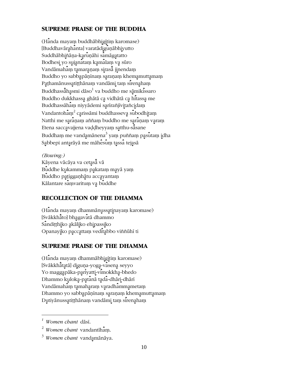# **SUPREME PRAISE OF THE BUDDHA**

(Handa mayam buddhābhigitim karomase) [Buddhavārahanta] varatādiguņābhiyutto Suddhābhiñāņa-karuņāhi samāgatatto Bodhesi yo sujanatam kamalam va sūro Vandāmaham tamaraņam sirasā jinendam Buddho yo sabbapāṇīnaṃ saraṇaṃ khemamuttamaṃ Pąthamānussątitthānam vandāmi tam sirenaham Buddhassā̄hasmi dāso $^1$  va buddho me sā̯mik $\mathbf{\hat{i}}$ ssaro Buddho dukkhassa ghātā ca vidhātā ca hitassa me Buddhassāham niyyādemi sarīrañjīvitañcidam Vandantoh $\hat{\text{a}}$ m $^2$  carissāmi buddhasseva subodhitam Natthi me saranam aññam buddho me saranam varam Etena saccavajjena vaddheyyam satthu-sāsane Buddhaṃ me vandaౖmānena $^3$  yaṃ puññaṃ paേs ${\bf \hat{u}}$ taṃ  ${\bf \hat{i}}$ dha Sabbepi antarāyā me māhesum tassa tejasā

#### *(Bowing:)*

Kāyena vācāya va cet<u>a</u>sā vā Buddhe kukammam pakatam maya yam Buddho patigganhātu accayantam Kālantare samvaritum va buddhe

#### **RECOLLECTION OF THE DHAMMA**

(Handa mayam dhammanussatinayam karomase) [Svākkhāto] bhagavatā dhammo Sanditthiko akāliko ehipassiko Opanayiko paccattam veditabbo viññūhī ti

#### **SUPREME PRAISE OF THE DHAMMA**

(Handa mayam dhammabhigitim karomase) [Svākkhātatā] diguņa-yoga-vasena seyyo Yo maggapāka-pariyatti-vimokkha-bhedo Dhammo kuloka-patanā tada-dhāri-dhārī Vandāmahām tamaharam varadhammametam Dhammo yo sabbapāṇīnaṃ saraṇaṃ khemamuttamaṃ Dutiyānussatiṭṭhānaṃ vandāmi taṃ sirenahaṃ

 $\overline{a}$ 

<sup>&</sup>lt;sup>1</sup> Women chant dāsī.

 $2$  *Women chant* vandantiham.

<sup>&</sup>lt;sup>3</sup> Women chant vandamānāya.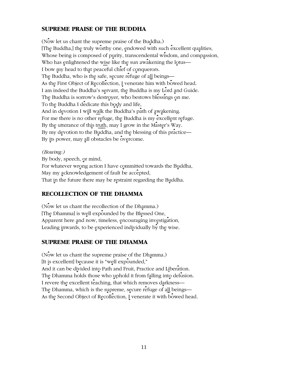# **SUPREME PRAISE OF THE BUDDHA**

(Now let us chant the supreme praise of the Buddha.) [The Buddha,] the truly worthy one, endowed with such excellent qualities, Whose being is composed of purity, transcendental wisdom, and compassion, Who has enlightened the wise like the sun awakening the lotus— I bow my head to that peaceful chief of conquerors. The Buddha, who is the safe, secure refuge of all beings— As the First Object of Recollection, I venerate him with bowed head. I am indeed the Buddha's servant, the Buddha is my Lord and Guide. The Buddha is sorrow's destroyer, who bestows blessings on me. To the Buddha I dedicate this body and life, And in devotion I will walk the Buddha's path of awakening. For me there is no other refuge, the Buddha is my excellent refuge. By the utterance of this truth, may I grow in the Master's Way. By my devotion to the Buddha, and the blessing of this practice— By its power, may all obstacles be overcome.

#### (Bowing:)

By body, speech, or mind, For whatever wrong action I have committed towards the Buddha, May my acknowledgement of fault be accepted, That in the future there may be restraint regarding the Buddha.

# **RECOLLECTION OF THE DHAMMA**

(Now let us chant the recollection of the Dhamma.) [The Dhamma] is well expounded by the Blessed One, Apparent here and now, timeless, encouraging investigation, Leading inwards, to be experienced individually by the wise.

#### **SUPREME PRAISE OF THE DHAMMA**

(Now let us chant the supreme praise of the Dhamma.) [It is excellent] because it is "well expounded," And it can be divided into Path and Fruit, Practice and Liberation. The Dhamma holds those who uphold it from falling into delusion. I revere the excellent teaching, that which removes darkness-The Dhamma, which is the supreme, secure refuge of all beings— As the Second Object of Recollection, I venerate it with bowed head.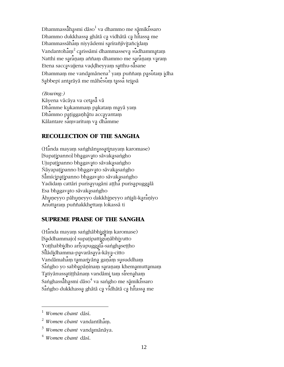Dhammassāhasmi dāso<sup>1</sup> va dhammo me sāmikissaro Dhammo dukkhassa ghātā ca vidhātā ca hitassa me Dhammassāham niyyādemi sarīrañjīvitañcidam Vandantoham<sup>2</sup> carissāmi dhammasseva sudhammatam Natthi me saranam aññam dhammo me saranam varam Etena saccavajjena vaḍḍheyyaṃ satthu-sā̄sane Dhammam me vandamānena<sup>3</sup> yam puññam pasutam idha Sabbepi antarāyā me māhesum tassa tejasā

#### (Bowing:)

Kāyena vācāya va cetasā vā Dhamme kukammam pakatam maya yam Dhammo patigganhātu accayantam Kālantare samvaritum va dhamme

### **RECOLLECTION OF THE SANGHA**

(Handa mayam sanghānussatinayam karomase) [Supatipanno] bhagavato sāvakasangho Ujupatipanno bhagavato sāvakasangho Ñāyapaṭipanno bha̯gavato sāvaka̪saṅgho Sāmīcipatipanno bhagavato sāvakasangho Yadidam cattāri purisayugāni ațțha purisapuggalā Esa bhagavato sāvakasangho Āhuņeyyo pāhuņeyyo dakkhineyyo añjali-karaņiyo Anuttaram puññakkhettam lokassā ti

#### **SUPREME PRAISE OF THE SANGHA**

(Handa mayam sanghābhigītim karomase) [Saddhammajo] supațipattigunābhiyutto Yotthabbidho ariyapuggala-sanghasettho Silādidhamma-pavarāsaya-kāya-citto Vandāmaham tamariyāna gaņam susuddham Sangho yo sabbapaninam saranam khemamuttamam Tatiyānussatiṭṭhānaṃ vandāmi taṃ sirenahaṃ Sanghassālasmi dāso $^4$  va sangho me sāmikissaro Sangho dukkhassa ghātā ca vidhātā ca hitassa me

<sup>3</sup> Women chant vandamānāya.

 $1$  Women chant dāsī.

 $2$  Women chant vandantiham.

 $4$  Women chant dāsi.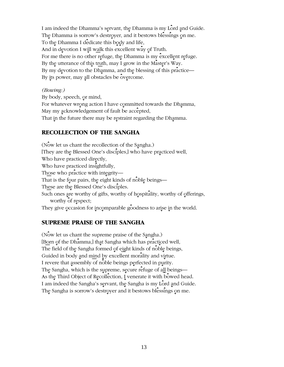I am indeed the Dhamma's servant, the Dhamma is my Lord and Guide. The Dhamma is sorrow's destroyer, and it bestows blessings on me. To the Dhamma I dedicate this body and life, And in devotion I will walk this excellent way of Truth. For me there is no other refuge, the Dhamma is my excellent refuge. By the utterance of this truth, may I grow in the Master's Way. By my devotion to the Dhamma, and the blessing of this practice— By its power, may all obstacles be overcome.

#### (Bowing:)

By body, speech, or mind, For whatever wrong action I have committed towards the Dhamma, May my acknowledgement of fault be accepted, That in the future there may be restraint regarding the Dhamma.

# **RECOLLECTION OF THE SANGHA**

(Now let us chant the recollection of the Sangha.) [They are the Blessed One's disciples,] who have practiced well, Who have practiced directly, Who have practiced insightfully, Those who practice with integrity-That is the four pairs, the eight kinds of noble beings— These are the Blessed One's disciples. Such ones are worthy of gifts, worthy of hospitality, worthy of offerings, worthy of respect; They give occasion for incomparable goodness to arise in the world.

#### **SUPREME PRAISE OF THE SANGHA**

(Now let us chant the supreme praise of the Sangha.) [Born of the Dhamma,] that Sangha which has practiced well, The field of the Sangha formed of eight kinds of noble beings, Guided in body and mind by excellent morality and virtue. I revere that assembly of noble beings perfected in purity. The Sangha, which is the supreme, secure refuge of all beings— As the Third Object of Recollection, I venerate it with bowed head. I am indeed the Sangha's servant, the Sangha is my Lord and Guide. The Sangha is sorrow's destroyer and it bestows blessings on me.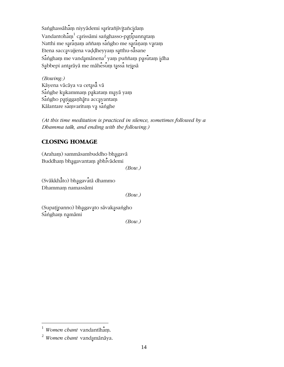Sanghassāham niyyādemi sarīrañjīvitañcidam Vandantoham<sup>1</sup> carissāmi sanghasso-paṭipannatam Natthi me saranam aññam sangho me saranam varam Etena saccavajjena vaddheyyam satthu-sāsane Sangham me vandamānena<sup>2</sup> yam puññam pasutam idha Sabbepi antarāyā me māhesum tassa tejasā

(Bowing:) Kāyena vācāya va cetasā vā Sanghe kukammam pakatam maya yam Sangho patigganhātu accayantam Kālantare samvaritum va sanghe

(At this time meditation is practiced in silence, sometimes followed by a Dhamma talk, and ending with the following:)

# **CLOSING HOMAGE**

(Araham) sammāsambuddho bhagavā Buddham bhagavantam abhivademi

 $(Bow.)$ 

(Svākkhāto) bhagavatā dhammo Dhammam namassāmi

 $(Bow.)$ 

(Supațipanno) bhagavato sāvakasangho Sangham namāmi

 $(Bow.)$ 

 $1$  Women chant vandantiham.

 $2$  Women chant vandamānāya.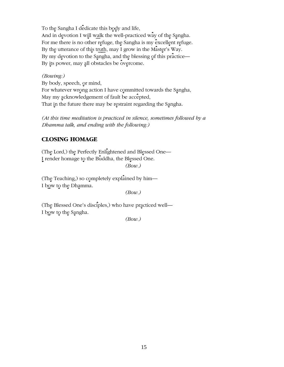To the Sangha I dedicate this body and life, And in devotion I will walk the well-practiced way of the Sangha. For me there is no other refuge, the Sangha is my excellent refuge. By the utterance of this truth, may I grow in the Master's Way. By my devotion to the Sangha, and the blessing of this practice— By its power, may all obstacles be overcome.

#### (Bowing:)

By body, speech, or mind, For whatever wrong action I have committed towards the Sangha, May my acknowledgement of fault be accepted, That in the future there may be restraint regarding the Sangha.

(At this time meditation is practiced in silence, sometimes followed by a Dhamma talk, and ending with the following:)

# **CLOSING HOMAGE**

(The Lord,) the Perfectly Enlightened and Blessed One-I render homage to the Buddha, the Blessed One.  $(Bow.)$ 

(The Teaching,) so completely explained by him-I bow to the Dhamma.

 $(Bow.)$ 

(The Blessed One's disciples,) who have practiced well— I bow to the Sangha.

 $(Bow.)$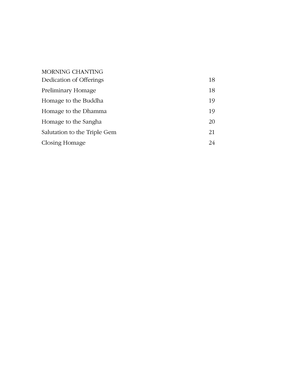| <b>MORNING CHANTING</b>      |    |
|------------------------------|----|
| Dedication of Offerings      | 18 |
| Preliminary Homage           | 18 |
| Homage to the Buddha         | 19 |
| Homage to the Dhamma         | 19 |
| Homage to the Sangha         | 20 |
| Salutation to the Triple Gem | 21 |
| Closing Homage               | 24 |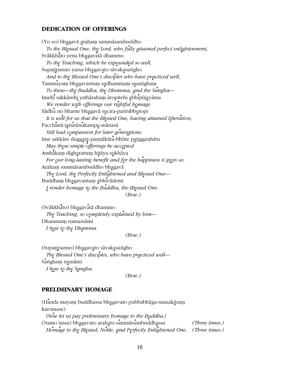#### **DEDICATION OF OFFERINGS**

(Yo so) bhagavā arahaṃ sammāsambuddho To the Blessed One, the Lord, who fully attained perfect enlightenment, Svākkhāto yena bhagavātā dhammo To the Teaching, which he expounded so well, Supaṭipanno yassa bhagavato sāvakasaṅgho And to the Blessed One's disciples who have practiced well, Tammayam bhagavantam sadhammam sasangham To these—the Buddha, the Dhamma, and the Sangha— Imehi sakkārehi yathāraham āropitehi abhipūjayāma We render with offerings our rightful homage. Sādhu no bhante bhagavā sucira-parinibbutopi It is well for us that the Blessed One, having attained liberation, Pacchimā-janatānukampa-mānasā Still had compassion for later generations. Ime sakkāre duggata-paņņākāra-bhūte patiggaņhātu May these simple offerings be accepted Amhākam dīgharattam hitāya sukhāya For our long-lasting benefit and for the happiness it gives us. Araham sammāsambuddho bhagavā The Lord, the Perfectly Enlightened and Blessed One-Buddham bhagavantam abhivādemi I render homage to the Buddha, the Blessed One.  $(Bow.)$ 

(Svākkhāto) bhagavatā dhammo The Teaching, so completely explained by him-Dhammam namassāmi I bow to the Dhamma.

 $(Bow.)$ 

(Supaṭipanno) bhagavato sāvakasaṅgho The Blessed One's disciples, who have practiced well-Sangham namāmi I bow to the Sangha.

 $(Bow.)$ 

#### **PRELIMINARY HOMAGE**

(Handa mayam buddhassa bhagavato pubbabhāga-namakāram karomase)

[Now let us pay preliminary homage to the Buddha.] (Namo tassa) bhagavato arahato sammāsambuddhassa (Three times.) Homage to the Blessed, Noble, and Perfectly Enlightened One. (Three times.)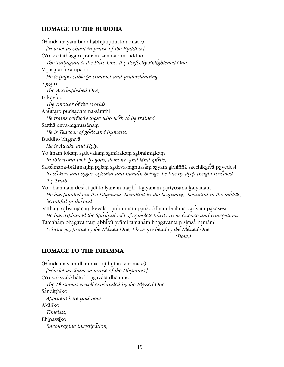# **HOMAGE TO THE BUDDHA**

(Handa mayam buddhābhitthutim karomase) [Now let us chant in praise of the Buddha.] (Yo so) tathāgato araham sammāsambuddho The Tathāgata is the Pure One, the Perfectly Enlightened One. Vijjācaraņa-sampanno He is impeccable in conduct and understanding, Sugato The Accomplished One, Lokavidū The Knower of the Worlds. Anuttaro purisadamma-sārathi He trains perfectly those who wish to be trained. Satthā deva-manussānam He is Teacher of gods and humans. Buddho bhagavā He is Awake and Holy. Yo imam lokam sadevakam samārakam sabrahmakam In this world with its gods, demons, and kind spirits, Sassamaņa-brāhmaņim pajam sadeva-manussam sayam abhiññā sacchikatvā pavedesi Its seekers and sages, celestial and buman beings, be has by deep insight revealed the Truth. Yo dhammaṃ desēsi ādi-kalyāṇaṃ majjhē-kalyāṇaṃ pariyosāna-kalyāṇaṃ He has pointed out the Dhamma: beautiful in the beginning, beautiful in the middle, beautiful in the end. Sātthām sabyañjaņam kevala-paripuņņam parisuddham brahma-cariyam pakāsesi He has explained the Spiritual Life of complete purity in its essence and conventions. Tamaham bhagavantam abhipūjayāmi tamaham bhagavantam sirasā namāmi I chant my praise to the Blessed One, I bow my head to the Blessed One.

 $(Bow.)$ 

#### **HOMAGE TO THE DHAMMA**

(Handa mayam dhammabhitthutim karomase) [Now let us chant in praise of the Dhamma.] (Yo so) svākkhāto bhagavatā dhammo The Dhamma is well expounded by the Blessed One, Sanditthiko Apparent here and now, Akāliko Timeless. Ehipassiko Encouraging investigation,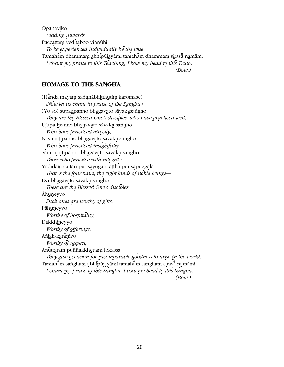Opanayiko Leading inwards, Paccattam veditabbo viññūhi To be experienced individually by the wise. Tamaham dhammam abhipujayami tamaham dhammam sirasa namami I chant my praise to this Teaching, I bow my head to this Truth.  $(Bow.)$ 

#### **HOMAGE TO THE SANGHA**

(Handa mayam sanghābhitthutim karomase) [Now let us chant in praise of the Sangha.] (Yo so) supaṭipanno bha̯gavḁto sāvaka̯saṅgho They are the Blessed One's disciples, who have practiced well, Ujupatipanno bhagavato sāvaka sangho Who have practiced directly, Ñāyapaṭipanno bhagavato sāvaka saṅgho Who have practiced insightfully, Sāmīcipatipanno bhagavato sāvaka sangho Those who practice with integrity-Yadidam cattāri purisayugāni aṭṭha purisapuggalā That is the four pairs, the eight kinds of noble beings-Esa bhagavato sāvaka sangho These are the Blessed One's disciples. Ahuņeyyo Such ones are worthy of gifts, Pāhuṇeyyo Worthy of hospitality, Dakkhineyyo Worthy of offerings, Añjali-karaņīyo Worthy of respect; Anuttaram puññakkhettam lokassa They give occasion for incomparable goodness to arise in the world. Tamahāṃ saṅghaṃ abhipūjayāmi tamahāṃ saṅghaṃ sirasā̄ namāmi I chant my praise to this Sangha, I bow my head to this Sangha.  $(Bow.)$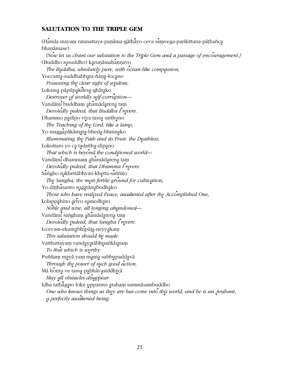# **SALUTATION TO THE TRIPLE GEM**

(Handa mayam ratanattaya-paṇāma-gāthāyo ceva saṃvega-parikittana-pāṭhañca bhanāmase) [Now let us chant our salutation to the Triple Gem and a passage of encouragement.] (Buddho susuddho) karunāmahannavo The Buddha, absolutely pure, with ocean-like compassion, Yoccanta-suddhabbara-ñāņa-locano Possessing the clear sight of wisdom, Lokassa pāpūpakilesa-ghātako Destroyer of worldly self-corruption-Vandāmi buddham ahamādarena tam Devotedly indeed, that Buddha I revere. Dhammo padipo viya tassa satthuno The Teaching of the Lord, like a lamp, Yo maggapākāmata-bheda-bhinnako Illuminating the Path and its Fruit: the Deathless, Lokuttaro yo ca tadattha-dipano That which is beyond the conditioned world-Vandāmi dhammam ahamādarena tam Devotedly indeed, that Dhamma I revere. Sangho sukhettābhyati-khetta-saññito The Sangha, the most fertile ground for cultivation, Yo ditthasanto sugatānubodhako Those who have realized Peace, awakened after the Accomplished One, Lolappahino ariyo sumedhaso Noble and wise, all longing abandoned— Vandāmi sangham ahamādarena tam Devotedly indeed, that Sangha I revere. Iccevam-ekantabhipūja-neyyakam This salutation should be made Vatthuttayam vandayatābhisankhatam To that which is worthy. Puññam mayā yam mama sabbupaddavā Through the power of such good action, Mā hontu ve tassa pabhāvasiddhiyā May all obstacles disappear. Idha tathāgato loke uppanno araham sammāsambuddho One who knows things as they are has come into this world; and he is an Arahant, a perfectly awakened being.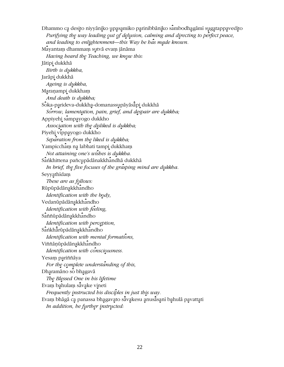Dhammo ca desito niyyāniko upasamiko parinibbāniko sambodhagāmī sugatappavedito Purifying the way leading out of delusion, calming and directing to perfect peace, and leading to enlightenment—this Way he has made known. Mayantam dhammam sutvā evam jānāma Having heard the Teaching, we know this: Jātipi dukkhā Birth is dukkha, Jarāpi dukkhā Ageing is dukkba, Maranampi dukkham And death is dukkha; Soka-parideva-dukkha-domanassupāyāsāpi dukkhā Sorrow, lamentation, pain, grief, and despair are dukkha; Appiyehi sampayogo dukkho Association with the disliked is dukkha; Piyehi vippayogo dukkho Separation from the liked is dukkha; Yampiccham na labhati tampi dukkham Not attaining one's wishes is dukkha. Sankhittena pañcupādānakkhandhā dukkhā In brief, the five focuses of the grasping mind are dukkha. Seyyathidam These are as follows: Rūpūpādānakkhandho Identification with the body, Vedanūpādānakkhandho Identification with feeling, Saññūpādānakkhandho Identification with perception, Sankhārūpādānakkhandho Identification with mental formations, Viññāņūpādānakkhandho Identification with consciousness. Yesam pariññāya For the complete understanding of this, Dharamāno so bhagavā The Blessed One in his lifetime Evam bahulam sāvake vineti Frequently instructed his disciples in just this way. Evaṃ bhāgā ca panassa bhagavato sāvakesu anusāsanī bahulā pavattati In addition, he further instructed: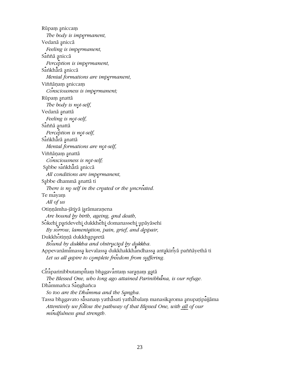Rūpaṃ <u>a</u>niccaṃ *The body is impermanent,* Vedanā <u>a</u>niccā *Feeling is impermanent,* Saññā aniccā *Perception is impermanent,* Sankhārā aniccā *Mental formations are impermanent,* Viññāņam aniccam *Consciousness is impermanent;* Rūpaṃ anattā The body is not-self, Vedanā anattā *Feeling is not-self,* Sāññā <u>a</u>nattā *Perception is not-self,* Sānkhārā anattā *Mental formations are not-self,* Viññāņam anattā *Consciousness is not-self;* Sabbe sankhārā aniccā *All conditions are impermanent,* Sabbe dhammā anattā ti There is no self in the created or the uncreated. Te mayam *All of us* Otiņņāmha-jātiyā jarāmaraņena Are bound by birth, ageing, and death, Sokehi paridevehi dukkhēhi domanassehi upāyāsehi By sorrow, lamentation, pain, grief, and despair, Dukkhotiņņā dukkhaparetā Bound by dukkha and obstructed by dukkha. Appevanāmimassa kevalassa dukkhakkhandhassa antakiriyā paññāyethā ti Let us all aspire to complete freedom from suffering. Ciraparinibbutampitam bhagavantam saranam gatā *The Blessed One, who long ago attained Parinibb׿na, is our refuge.*

Dhammañca Sanghañca

*So too are the Dhamma and the Sangha.* 

Tassa bhagavato sā̄sanaṃ yathā̄sati yathā̄balaṃ manasikaɾoma anupaṭipājjāma *Attentively we follow the pathway of that Blessed One, with all of our*  $mindfulness$  *and strength*.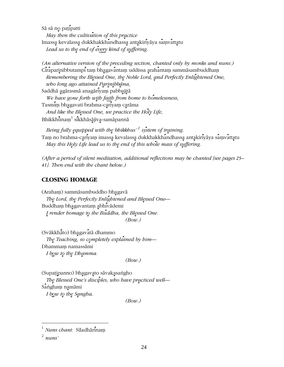Sā sā no patipatti May then the cultivation of this practice Imassa kevalassa dukkhakkhandhassa antakiriyāya samvattatu Lead us to the end of every kind of suffering.

(An alternative version of the preceding section, chanted only by monks and nuns.) Ciraparinibbutampi tam bhagavantam uddissa arahantam sammāsambuddham Remembering the Blessed One, the Noble Lord, and Perfectly Enlightened One, who long ago attained Parinibbāna,

Saddhā agārasmā anagāriyam pabbajitā We have gone forth with faith from home to homelessness, Tasmiṃ bha̯gavati brahma-ca̯riyaṃ ca̯rāma And like the Blessed One, we practice the Holy Life, Bhikkhūnaṃ sikkhāsājīva-samāpannā

Being fully equipped with the bhikkhus'<sup>2</sup> system of training. Tam no brahma-cariyam imassa kevalassa dukkhakkhandhassa antakiriyāya samvattatu May this Holy Life lead us to the end of this whole mass of suffering.

(After a period of silent meditation, additional reflections may be chanted [see pages  $25-$ 41]. Then end with the chant below.)

# **CLOSING HOMAGE**

(Araham) sammāsambuddho bhagavā The Lord, the Perfectly Enlightened and Blessed One-Buddham bhagavantam abhivādemi I render homage to the Buddha, the Blessed One.  $(Bow.)$ 

(Svākkhāto) bhagavātā dhammo The Teaching, so completely explained by  $b$ im— Dhammam namassāmi I bow to the Dhamma.

 $(Bow.)$ 

(Supatipanno) bhagavato sāvakasangho

The Blessed One's disciples, who have practiced well-Saṅghaṃ na̯māmi I bow to the Sangha.

 $(Bow.)$ 

 $^{1}$  Nuns chant: Siladhārinam

 $\frac{2}{3}$  nuns'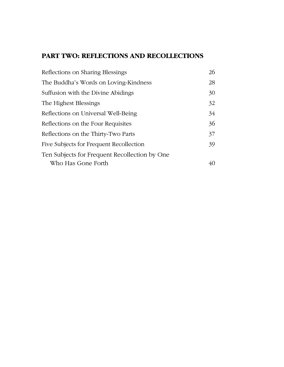# **PART TWO: REFLECTIONS AND RECOLLECTIONS**

| Reflections on Sharing Blessings              | 26 |
|-----------------------------------------------|----|
| The Buddha's Words on Loving-Kindness         | 28 |
| Suffusion with the Divine Abidings            | 30 |
| The Highest Blessings                         | 32 |
| Reflections on Universal Well-Being           | 34 |
| Reflections on the Four Requisites            | 36 |
| Reflections on the Thirty-Two Parts           | 37 |
| Five Subjects for Frequent Recollection       | 39 |
| Ten Subjects for Frequent Recollection by One |    |
| Who Has Gone Forth                            | 40 |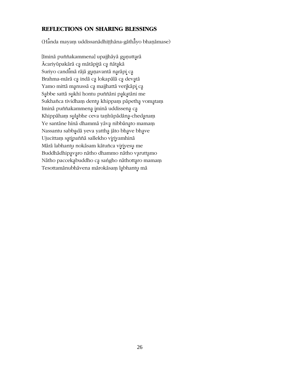## **REFLECTIONS ON SHARING BLESSINGS**

(Handa mayam uddissanādhiṭṭhāna-gāthāyo bhaṇāmase)

[Iminā puññakammena] upajjhāyā guņuttarā Ācariyūpakārā ca mātāpitā ca ñātakā Suriyo candimā rājā guņavantā narāpi ca Brahma-mārā ca indā ca lokapālā ca devatā Yamo mittā manussā ca majjhattā verikāpi ca Sąbbe sattā sukhī hontu puññāni pakatāni me Sukhañca tividham dentu khippam pāpetha vomatam Iminā puññakammena iminā uddissena ca Khippāham sulabhe ceva taņhūpādāna-chedanam Ye santāne hīnā dhammā yāva nibbānato mamam Nassantu sabbadā yeva yattha jāto bhave bhave Ujucittam satipaññā sallekho viriyamhinā Mārā labhantu nokāsam kātuñca viriyesu me Buddhādhipavaro nātho dhammo nātho varuttamo Nātho paccekabuddho ca sangho nāthottaro mamam Tesottamānubhāvena mārokāsam labhantu mā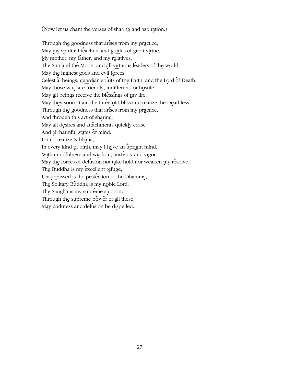(Now let us chant the verses of sharing and aspiration.)

Through the goodness that arises from my practice, May my spiritual teachers and guides of great virtue, My mother, my father, and my relatives, The Sun and the Moon, and all virtuous leaders of the world, May the highest gods and evil forces, Celestial beings, guardian spirits of the Earth, and the Lord of Death, May those who are friendly, indifferent, or hostile, May all beings receive the blessings of my life. May they soon attain the threefold bliss and realize the Deathless. Through the goodness that arises from my practice, And through this act of sharing, May all desires and attachments quickly cease And all harmful states of mind. Until I realize Nibbāna, In every kind of birth, may I have an upright mind, With mindfulness and wisdom, austerity and vigor. May the forces of delusion not take hold nor weaken my resolve. The Buddha is my excellent refuge, Unsurpassed is the protection of the Dhamma, The Solitary Buddha is my noble Lord, The Sangha is my supreme support. Through the supreme power of all these, May darkness and delusion be dispelled.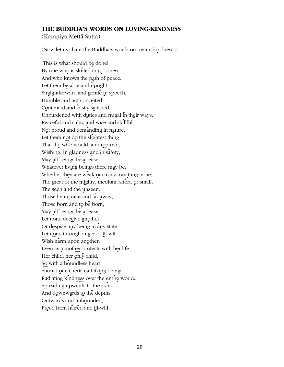## THE BUDDHA'S WORDS ON LOVING-KINDNESS

(Karanīya Mettā Sutta)

(Now let us chant the Buddha's words on loving-kindness.)

[This is what should be done] By one who is skilled in goodness And who knows the path of peace: Let them be able and upright, Straightforward and gentle in speech, Humble and not conceited, Contented and easily satisfied, Unburdened with duties and frugal in their ways. Peaceful and calm, and wise and skillful, Not proud and demanding in nature. Let them not do the slightest thing That the wise would later reprove, Wishing: In gladness and in safety, May all beings be at ease. Whatever living beings there may be, Whether they are weak or strong, omitting none, The great or the mighty, medium, short, or small, The seen and the unseen, Those living near and far away, Those born and to be born, May all beings be at ease. Let none deceive another Or despise any being in any state. Let none through anger or ill-will Wish harm upon another. Even as a mother protects with her life Her child, her only child, So with a boundless heart Should one cherish all living beings, Radiating kindness over the entire world: Spreading upwards to the skies And downwards to the depths, Outwards and unbounded, Freed from hatred and ill-will.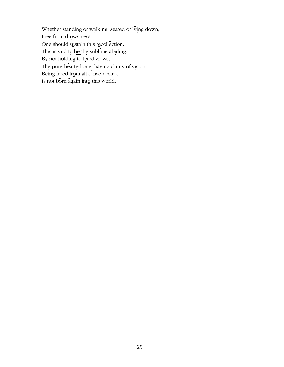Whether standing or walking, seated or  $\hat{I}$  ing down, Free from drowsiness, One should sustain this recollection. This is said to be the sublime abiding. By not holding to fixed views, The pure-hearted one, having clarity of vision, Being freed from all sense-desires, Is not born again into this world.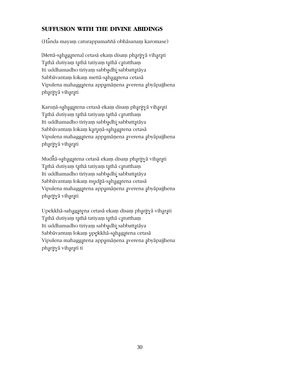# **SUFFUSION WITH THE DIVINE ABIDINGS**

 $(H<sub>a</sub>$ nda mayam caturappamaññ $\bar{a}$  obhāsanam karomase)

[Mettā-sahagatena] cetasā ekam disam pharityā viharati Tathā dutiyaṃ tathā tatiyaṃ tathā catutthaṃ Iti uddhamadho tiriyam sabbadhi sabbattatāya Sabbāvantam lokam mettā-sahagatena cetasā Vipulena mahaggatena appamāņena averena abyāpajjhena pharityā viharati

Karuņā-sahagatena cetasā ekam disam pharitvā viharati Tathā dutiyam tathā tatiyam tathā catuttham Iti uddhamadho tiriyam sabbadhi sabbattatāya Sabbāvantam lokam karuņā-sahagatena cetasā Vipulena mahaggatena appamāņena averena abyāpajjhena pharityā viharati

Muditā-sahagatena cetasā ekam disam pharitvā viharati Tathā dutiyaṃ tathā tatiyaṃ tathā catutthaṃ Iti uddhamadho tiriyam sabbadhi sabbattataya Sabbāvantam lokam muditā-sahagatena cetasā Vipulena mahaggatena appamāņena averena abyāpajjhena pharityā viharati

Upekkhā-sahagatena cetasā ekam disam pharityā viharati Tathā dutiyam tathā tatiyam tathā catuttham Iti uddhamadho tiriyam sabbadhi sabbattatāya Sabbāvantam lokam upekkhā-sahagatena cetasā Vipulena mahaggatena appamāņena averena abyāpajjhena pharityā viharatī ti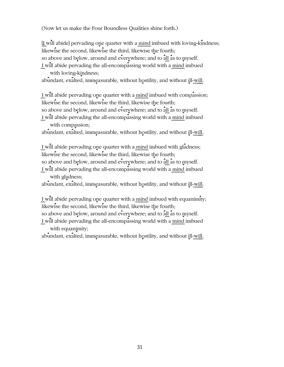(Now let us make the Four Boundless Qualities shine forth.)

[I will abide] pervading one quarter with a mind imbued with loving-kindness; likewise the second, likewise the third, likewise the fourth; so above and below, around and everywhere; and to  $\frac{1}{a}$  as to myself. I will abide pervading the all-encompassing world with a mind imbued

with loving-kindness;

abundant, exalted, immeasurable, without hostility, and without ill-will.

I will abide pervading one quarter with a mind imbued with compassion; likewise the second, likewise the third, likewise the fourth; so above and below, around and everywhere; and to all as to myself. I will abide pervading the all-encompassing world with a mind imbued with compassion;

abundant, exalted, immeasurable, without hostility, and without ill-will.

I will abide pervading one quarter with a  $\frac{m}{nd}$  imbued with gladness; likewise the second, likewise the third, likewise the fourth; so above and below, around and everywhere; and to  $\frac{1}{a}$  as to myself.

I will abide pervading the all-encompassing world with a mind imbued with gladness;

abundant, exalted, immeasurable, without hostility, and without ill-will.

I will abide pervading one quarter with a mind imbued with equanimity; likewise the second, likewise the third, likewise the fourth;

so above and below, around and everywhere; and to  $\frac{1}{a}$  as to  $\frac{1}{a}$  as to  $\frac{1}{b}$ .

I will abide pervading the all-encompassing world with a mind imbued with equanimity;

abundant, exalted, immeasurable, without hostility, and without ill-will.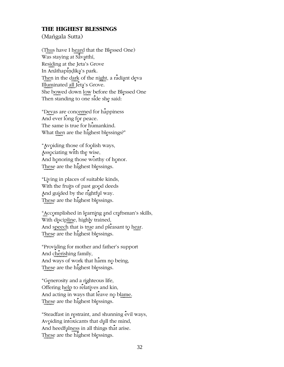# **THE HIGHEST BLESSINGS**

(Mangala Sutta)

(Thus have I heard that the Blessed One) Was staying at Sāvatthī, Residing at the Jeta's Grove In Anāthapiņdika's park. Then in the dark of the night, a radiant deva Illuminated all Jeta's Grove. She bowed down low before the Blessed One Then standing to one side she said:

"Devas are concerned for happiness And ever long for peace. The same is true for humankind. What then are the highest blessings?"

"Avoiding those of foolish ways, Associating with the wise, And honoring those worthy of honor. These are the highest blessings.

"Living in places of suitable kinds, With the fruits of past good deeds And guided by the rightful way. These are the highest blessings.

"Accomplished in learning and craftsman's skills, With discipline, highly trained, And speech that is true and pleasant to hear. These are the highest blessings.

"Providing for mother and father's support And cherishing family, And ways of work that harm no being, These are the highest blessings.

"Generosity and a righteous life, Offering help to relatives and kin, And acting in ways that leave no blame. These are the highest blessings.

"Steadfast in restraint, and shunning evil ways, Avoiding intoxicants that dull the mind, And heedfulness in all things that arise. These are the highest blessings.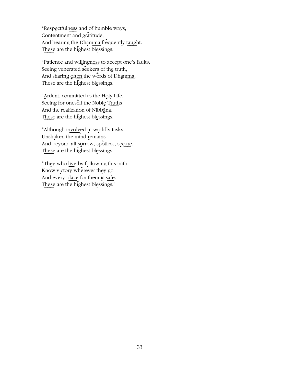"Respectfulness and of humble ways, Contentment and gratitude, And hearing the Dhamma frequently taught. These are the highest blessings.

"Patience and willingness to accept one's faults, Seeing venerated seekers of the truth, And sharing often the words of Dhamma. These are the highest blessings.

"Ardent, committed to the Holy Life, Seeing for oneself the Noble Truths And the realization of Nibbana. These are the highest blessings.

"Although involved in worldly tasks, Unshaken the mind remains And beyond all sorrow, spotless, secure. These are the highest blessings.

"They who live by following this path Know victory wherever they go, And every place for them is safe. These are the highest blessings."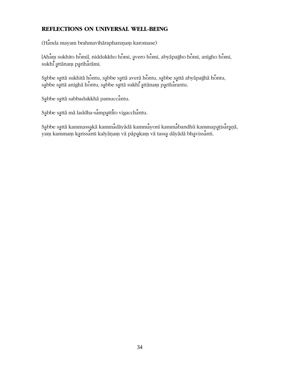# REFLECTIONS ON UNIVERSAL WELL-BEING

(Handa mayam brahmavihārapharaṇaṃ karomase)

[Aham sukhito homi], niddukkho homi, avero homi, abyāpajjho homi, anīgho homi, sukhi attānam pariharāmi.

Sabbe sattā sukhitā hontu, sabbe sattā averā hontu, sabbe sattā abyāpajjhā hontu, sabbe sattā anīghā hontu, sabbe sattā sukhī attānam pariharantu.

Sabbe sattā sabbadukkhā pamuccantu.

Sabbe sattā mā laddha-sampattito vigacchantu.

Sąbbe sąttā kammassakā kammadāyādā kammayonī kammabandhū kammapatisaraņā, yam kammam karissanti kalyāņam vā pāpakam vā tassa dāyādā bhavissanti.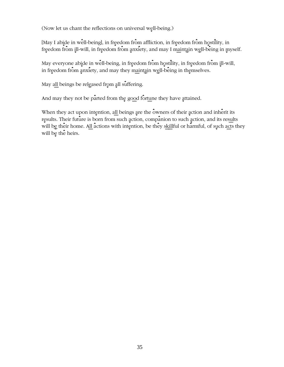(Now let us chant the reflections on universal well-being.)

[May I abide in well-being], in freedom from affliction, in freedom from hostility, in freedom from ill-will, in freedom from anxiety, and may I maintain well-being in myself.

May everyone abide in well-being, in freedom from hostility, in freedom from ill-will, in freedom from anxiety, and may they maintain well-being in themselves.

May all beings be released from all suffering.

And may they not be parted from the good fortune they have attained.

When they act upon intention, all beings are the owners of their action and inherit its results. Their future is born from such action, companion to such action, and its results will be their home. All actions with intention, be they skillful or harmful, of such acts they will be the heirs.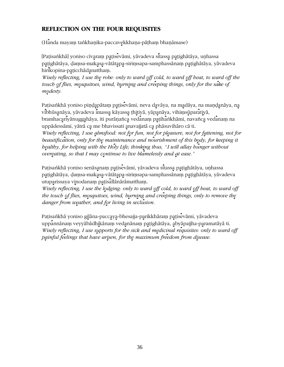# **REFLECTION ON THE FOUR REQUISITES**

(Hānda mayaṃ taṅkhaṇika-paccavekkhaṇa-pāṭhaṃ bhaṇāmase)

[Paṭisaṅkhā] yoniso cīvaraṃ paṭisevāmi, yāvadeva sītassa paṭighātāya, uṇhassa patighātāya, damsa-makasa-vātātapa-sirimsapa-samphassānam patighātāya, yāvadeva hirikopina-paticchādanattham.

Wisely reflecting, I use the robe: only to ward off cold, to ward off heat, to ward off the touch of flies, mosquitoes, wind, burning and creeping things, only for the sake of modesty.

Patisankhā yoniso piņdapātam patisevāmi, neva davāya, na madāya, na maņdanāya, na vibhūsanāya, yāvadeva imassa kāyassa thitiyā, yāpanāya, vihiṃsūparātiyā, bramhacarīyānuggahāya, iti purāṇañca vedānaṃ paṭihāṅkhāmi, navañca vedānaṃ na uppādessāmi, yātrā ca me bhavissati anavajjatā ca phāsuvihāro cā ti.

Wisely reflecting, I use almsfood: not for fun, not for pleasure, not for fattening, not for beautification, only for the maintenance and nourishment of this body, for keeping it bealthy, for helping with the Holy Life; thinking thus, "I will allay hunger without overeating, so that I may continue to live blamelessly and at ease."

Paṭisaṅkhā yoniso senāsanaṃ paṭisevāmi, yāvadeva sītassa paṭighātāya, uṇhassa patighātāya, damsa-makasa-vātātapa-sirimsapa-samphassānam patighātāya, yāvadeva utuparissaya vinodanam patisallānārāmattham.

Wisely reflecting, I use the lodging: only to ward off cold, to ward off heat, to ward off the touch of flies, mosquitoes, wind, burning and creeping things, only to remove the danger from weather, and for living in seclusion.

Patisankhā yoniso gilāna-paccaya-bhesajja-parikkhāram patisevāmi, yāvadeva uppānnānaṃ veyyābādhikānaṃ vedanānaṃ paṭighātāya, abyāpajjha-paramatāyā ti. Wisely reflecting, I use supports for the sick and medicinal requisites: only to ward off painful feelings that have arisen, for the maximum freedom from disease.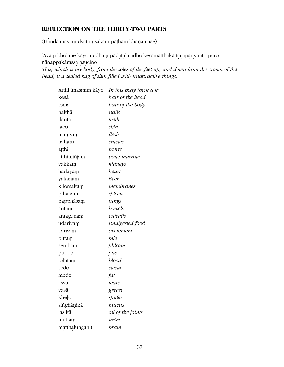## REFLECTION ON THE THIRTY-TWO PARTS

(Handa mayam dvattimsākāra-pāṭham bhaṇāmase)

[Ayam kho] me kāyo uddham pādatalā adho kesamatthakā tacapariyanto pūro nānappakārassa asucino This, which is my body, from the soles of the feet up, and down from the crown of the head, is a sealed bag of skin filled with unattractive things.

| Atthi imasmim kāye | In this body there are: |
|--------------------|-------------------------|
| kesā               | bair of the head        |
| lomā               | bair of the body        |
| nakhā              | nails                   |
| dantā              | teeth                   |
| taco               | skin                    |
| mamsam             | flesh                   |
| nahārū             | sinews                  |
| aṭṭhī              | bones                   |
| aṭṭhimiñjaṃ        | bone marrow             |
| vakkam             | kidneys                 |
| hadayam            | beart                   |
| yakanam            | liver                   |
| kilomakam          | membranes               |
| pihakam            | spleen                  |
| papphāsam          | lungs                   |
| antam              | bowels                  |
| antagunam          | entrails                |
| udariyam           | undigested food         |
| karisam            | excrement               |
| pittam             | bile                    |
| semham             | phlegm                  |
| pubbo              | pus                     |
| lohitam            | blood                   |
| sedo               | sweat                   |
| medo               | fat                     |
| assu               | tears                   |
| vasā               | grease                  |
| kheļo              | spittle                 |
| singhāņikā         | mucus                   |
| lasikā             | oil of the joints       |
| muttam             | urine                   |
| matthalungan ti    | brain.                  |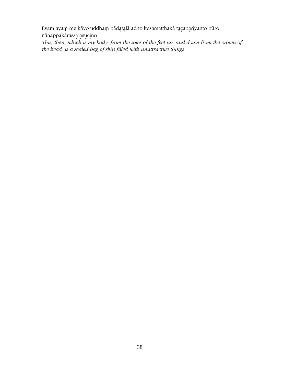Evam ayam me kāyo uddham pādatalā adho kesamatthakā tacapariyanto pūro nānappakārassa asucino

This, then, which is my body, from the soles of the feet up, and down from the crown of the head, is a sealed bag of skin filled with unattractive things.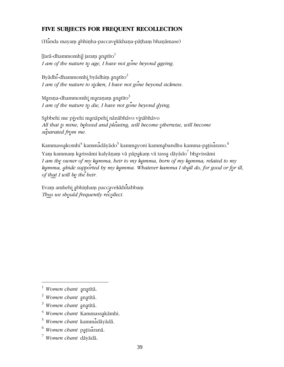## FIVE SUBJECTS FOR FREQUENT RECOLLECTION

(Handa mayam abhinha-paccavekkhana-pāṭhaṃ bhaṇāmase)

[Jarā-dhammomhi] jaram anatīto<sup>1</sup> I am of the nature to age, I have not gone beyond ageing.

Byādhi-dhammomhi byādhim anatīto<sup>2</sup> I am of the nature to sicken, I have not gone beyond sickness.

Maraṇa-dhammomhi maraṇaṃ anatīto $^3$ I am of the nature to die, I have not gone beyond dying.

Sabbehi me piyehi manāpehi nānābhāvo vinābhāvo All that is mine, beloved and pleasing, will become otherwise, will become separated from me.

Kammassakomhi<sup>4</sup> kammadāyādo<sup>5</sup> kammayoni kammabandhu kamma-patisarano.<sup>6</sup> Yam kammam karissāmi kalyāņam vā pāpakam vā tassa dāyādo<sup>7</sup> bhavissāmi I am the owner of my kamma, heir to my kamma, born of my kamma, related to my kamma, abide supported by my kamma. Whatever kamma I shall do, for good or for ill, of that I will be the heir.

Evam amhehi abhinham paccavekkhitabbam Thus we should frequently recollect.

<sup>4</sup> Women chant Kammassakāmhi.

Women chant anatītā.

 $2$  Women chant anatitā.

 $3$  Women chant anatītā.

<sup>&</sup>lt;sup>5</sup> Women chant kammadāyādā.

 $6$  Women chant patisarana.

<sup>&</sup>lt;sup>7</sup> Women chant dāyādā.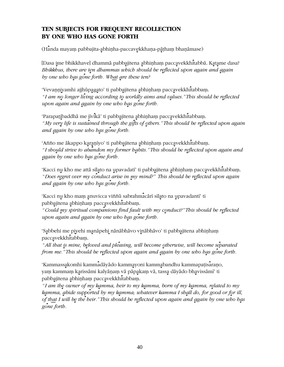## **TEN SUBJECTS FOR FREQUENT RECOLLECTION BY ONE WHO HAS GONE FORTH**

(Handa mayaṃ pabbajita-abhiṇha-paccavekkhaṇa-pāṭhaṃ bhaṇāmase)

[Dasa ime bhikkhave] dhammā pabbajitena abhiņham paccavekkhitabbā. Katame dasa? *Bhikkhus, there are ten dhammas which should be reflected upon again and again by one who has gone forth. What are these ten?* 

'Vevanniyamhi ajjhūpagato' ti pabbajitena abhinham paccavekkhitabbam. *"I am no longer living according to worldly aims and values." This should be reflected upon again and again by one who has gone forth.* 

'Parapaṭibaddhā me jīvikā' ti pabbajitena abhiṇhaṃ paccavekkhitabbaṃ. "My very life is sustained through the gifts of others." This should be reflected upon again *and again by one who has gone forth.* 

'Añño me ākappo karaņīyo' ti pabbajitena abhiņhaṃ paccavekkhitabbaṃ. *" I sho÷uld strive to ab×andon my former h÷abits." This should be r÷eflected upon again and ÷again by one who h÷as g×one forth.*

'Kacci nu kho me attā sīlato na upavadatī' ti pabbajitena abhiņhaṃ paccavekkhitabbaṃ. "Does regret over my conduct arise in my mind?" This should be reflected upon again *and again by one who has gone forth.* 

'Kacci nu kho mam anuvicca viññū sabrahmacārī sīlato na upavadantī' ti pabbajitena abhinham paccavekkhitabbam.

*" Could ÷my spiritual comp×anions find fault with my c÷onduct?" This should be r÷eflected upon again and again by one who has gone forth.* 

'Sąbbehi me piyehi manāpehi nānābhāvo vinābhāvo' ti pabbajitena abhiņhaṃ paccavekkhitabbam.

*" All that ÷is mine, b÷eloved and pl×easing, will become ÷otherwise, will become s×eparated from me." This should be reflected upon again and again by one who has gone forth.* 

'Kammassakomhi kammadāyādo kammayoni kammabandhu kammapaṭisaraṇo, yaṃ kammaṃ karissāmi kalyāṇaṃ vā pāpa̯kaṃ vā, tassa dāyādo bhavissāmī' ti pabbajitena abhinham paccavekkhitabbam.

*"I am the owner of my kamma, heir to my kamma, born of my kamma, related to my* kamma, abide supported by my kamma; whatever kamma I shall do, for good or for ill, *of that I will be the heir." This should be reflected upon again and again by one who has g×one forth.*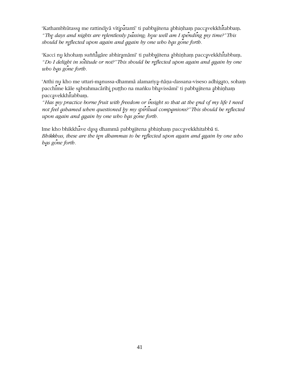'Kathambhūtassa me rattindivā vītipatantī' ti pabbajitena abhiņham paccavekkhitabbam. "The days and nights are relentlessly passing; how well am I spending my time?"This should be reflected upon again and again by one who has gone forth.

'Kacci nu khoham suññagare abhiramāmī' ti pabbajitena abhiņham paccavekkhitabbam. "Do I delight in solitude or not?" This should be reflected upon again and again by one who has gone forth.

'Atthi nu kho me uttari-manussa-dhammā alamariya-ñāṇa-dassana-viseso adhigato, sohaṃ pacchime kāle sabrahmacārīhi puțiho na manku bhavissāmī' ti pabbajitena abhiņham paccavekkhitabbam.

"Has my practice borne fruit with freedom or insight so that at the end of my life I need not feel ashamed when questioned by my spiritual companions?" This should be reflected upon again and again by one who has gone forth.

Ime kho bhikkhave dasa dhammā pabbajitena abhiņham paccavekkhitabbā ti. Bhikkhus, these are the ten dhammas to be reflected upon again and again by one who has gone forth.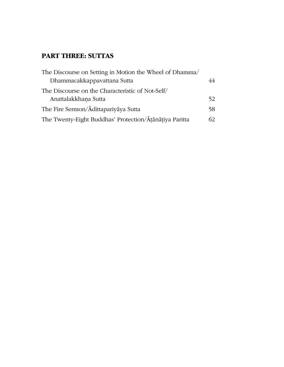## **PART THREE: SUTTAS**

| The Discourse on Setting in Motion the Wheel of Dhamma/ |    |
|---------------------------------------------------------|----|
| Dhammacakkappavattana Sutta                             | 44 |
| The Discourse on the Characteristic of Not-Self/        |    |
| Anattalakkhana Sutta                                    | 52 |
| The Fire Sermon/Adittapariyaya Sutta                    |    |
| The Twenty-Eight Buddhas' Protection/Atanatiya Paritta  | 62 |
|                                                         |    |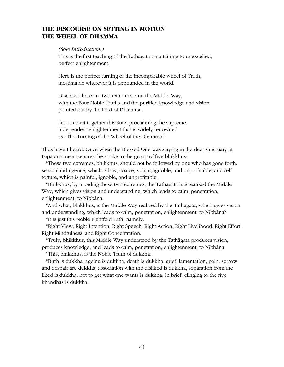## **THE DISCOURSE ON SETTING IN MOTION THE WHEEL OF DHAMMA**

#### *(Solo Introduction:)*

This is the first teaching of the Tathāgata on attaining to unexcelled, perfect enlightenment.

Here is the perfect turning of the incomparable wheel of Truth, inestimable wherever it is expounded in the world.

Disclosed here are two extremes, and the Middle Way, with the Four Noble Truths and the purified knowledge and vision pointed out by the Lord of Dhamma.

Let us chant together this Sutta proclaiming the supreme, independent enlightenment that is widely renowned as "The Turning of the Wheel of the Dhamma."

Thus have I heard: Once when the Blessed One was staying in the deer sanctuary at Isipatana, near Benares, he spoke to the group of five bhikkhus:

"These two extremes, bhikkhus, should not be followed by one who has gone forth: sensual indulgence, which is low, coarse, vulgar, ignoble, and unprofitable; and selftorture, which is painful, ignoble, and unprofitable.

"Bhikkhus, by avoiding these two extremes, the Tathægata has realized the Middle Way, which gives vision and understanding, which leads to calm, penetration, enlightenment, to Nibbāna.

"And what, bhikkhus, is the Middle Way realized by the Tathægata, which gives vision and understanding, which leads to calm, penetration, enlightenment, to Nibbāna?

"It is just this Noble Eightfold Path, namely:

"Right View, Right Intention, Right Speech, Right Action, Right Livelihood, Right Effort, Right Mindfulness, and Right Concentration.

"Truly, bhikkhus, this Middle Way understood by the Tathægata produces vision, produces knowledge, and leads to calm, penetration, enlightenment, to Nibbāna.

"This, bhikkhus, is the Noble Truth of dukkha:

"Birth is dukkha, ageing is dukkha, death is dukkha, grief, lamentation, pain, sorrow and despair are dukkha, association with the disliked is dukkha, separation from the liked is dukkha, not to get what one wants is dukkha. In brief, clinging to the five khandhas is dukkha.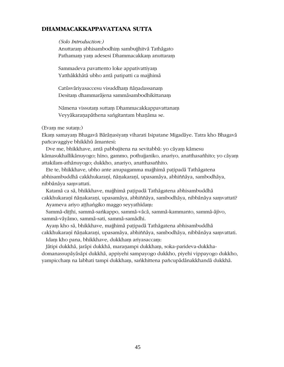## **DHAMMACAKKAPPAVATTANA SUTTA**

#### *(Solo Introduction:)*

Anuttaram abhisambodhim sambujihitvā Tathāgato Pathamam yam adesesi Dhammacakkam anuttaram

Sammadeva pavattento loke appativattiyam Yatthākkhātā ubho antā patipatti ca majihimā

Catūsvāriyasaccesu visuddham ñānadassanam Desitam dhammarājena sammāsambodhikittanam

Nāmena vissutam suttam Dhammacakkappavattanam Veyyākaranapāthena saṅgītantam bhanāma se.

(Evam me sutam:)

Ekam samayam Bhagavā Bārāṇasiyaṃ viharati Isipatane Migadāye. Tatra kho Bhagavā pañcavaggiye bhikkhū āmantesi:

Dve me, bhikkhave, antā pabbajitena na sevitabbā: yo cāyam kāmesu kāmasukhallikānuyogo; hīno, gammo, pothujjaniko, anariyo, anatthasañhito; yo cāyam attakilam-athānuyogo; dukkho, anariyo, anatthasañhito.

Ete te, bhikkhave, ubho ante anupagamma majjhimā patipadā Tathāgatena abhisambuddhā cakkhukaranī, ñānakaranī, upasamāya, abhiññāya, sambodhāya, nibbānāya samvattati.

Katamā ca sā, bhikkhave, majjhimā paṭipadā Tathāgatena abhisambuddhā

cakkhukaranī ñānakarani, upasamāya, abhiññāya, sambodhāya, nibbānāya samvattati? Ayameva ariyo atthangiko maggo seyyathidam:

Sammā-dițthi, sammā-saṅkappo, sammā-vācā, sammā-kammanto, sammā-ājīvo, sammā-vāyāmo, sammā-sati, sammā-samādhi.

Ayam kho sā, bhikkhave, majjhimā patipadā Tathāgatena abhisambuddhā

cakkhukaranī ñānakarani, upasamāya, abhiññāya, sambodhāya, nibbānāya samvattati. Idam kho pana, bhikkhave, dukkham ariyasaccam:

Jātipi dukkhā, jarāpi dukkhā, maraņampi dukkham, soka-parideva-dukkhadomanassupæyæsæpi dukkhæ, appiyehi sampayogo dukkho, piyehi vippayogo dukkho, yampiccham na labhati tampi dukkham, saṅkhittena pañcupādānakkhandā dukkhā.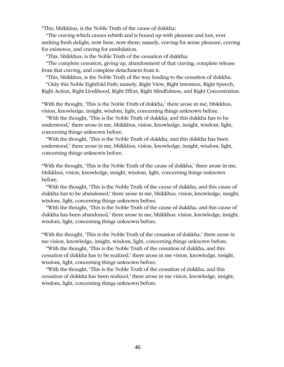"This, bhikkhus, is the Noble Truth of the cause of dukkha:

"The craving which causes rebirth and is bound up with pleasure and lust, ever seeking fresh delight, now here, now there; namely, craving for sense pleasure, craving for existence, and craving for annihilation.

"This, bhikkhus, is the Noble Truth of the cessation of dukkha:

"The complete cessation, giving up, abandonment of that craving, complete release from that craving, and complete detachment from it.

"This, bhikkhus, is the Noble Truth of the way leading to the cessation of dukkha:

"Only this Noble Eightfold Path; namely, Right View, Right Intention, Right Speech, Right Action, Right Livelihood, Right Effort, Right Mindfulness, and Right Concentration.

"With the thought, 'This is the Noble Truth of dukkha,' there arose in me, bhikkhus, vision, knowledge, insight, wisdom, light, concerning things unknown before.

"With the thought, 'This is the Noble Truth of dukkha, and this dukkha has to be understood,' there arose in me, bhikkhus, vision, knowledge, insight, wisdom, light, concerning things unknown before.

"With the thought, 'This is the Noble Truth of dukkha, and this dukkha has been understood,' there arose in me, bhikkhus, vision, knowledge, insight, wisdom, light, concerning things unknown before.

"With the thought, 'This is the Noble Truth of the cause of dukkha,' there arose in me, bhikkhus, vision, knowledge, insight, wisdom, light, concerning things unknown before.

"With the thought, 'This is the Noble Truth of the cause of dukkha, and this cause of dukkha has to be abandoned,' there arose in me, bhikkhus, vision, knowledge, insight, wisdom, light, concerning things unknown before.

"With the thought, 'This is the Noble Truth of the cause of dukkha, and this cause of dukkha has been abandoned,' there arose in me, bhikkhus, vision, knowledge, insight, wisdom, light, concerning things unknown before.

"With the thought, 'This is the Noble Truth of the cessation of dukkha,' there arose in me vision, knowledge, insight, wisdom, light, concerning things unknown before.

"With the thought, 'This is the Noble Truth of the cessation of dukkha, and this cessation of dukkha has to be realized,' there arose in me vision, knowledge, insight, wisdom, light, concerning things unknown before.

"With the thought, 'This is the Noble Truth of the cessation of dukkha, and this cessation of dukkha has been realized,' there arose in me vision, knowledge, insight, wisdom, light, concerning things unknown before.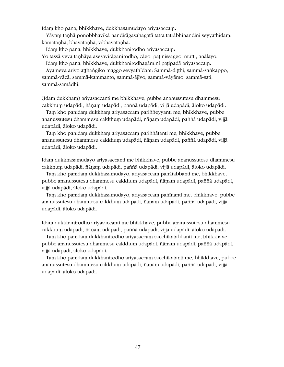Idam kho pana, bhikkhave, dukkhasamudayo ariyasaccam:

Yāyam taņhā ponobbhavikā nandirāgasahagatā tatra tatrābhinandinī seyyathīdam: kāmataņhā, bhavataņhā, vibhavataņhā.

Idam kho pana, bhikkhave, dukkhanirodho ariyasaccam:

Yo tassā yeva tanhāya asesavirāganirodho, cāgo, patinissaggo, mutti, anālayo. Idam kho pana, bhikkhave, dukkhanirodhagāminī paṭipadā ariyasaccam:

Ayameva ariyo atthangiko maggo seyyathīdam: Sammā-ditthi, sammā-sankappo, sammā-vācā, sammā-kammanto, sammā-ājīvo, sammā-vāyāmo, sammā-sati, sammā-samādhi.

(Idam dukkham) ariyasaccanti me bhikkhave, pubbe ananussutesu dhammesu cakkhum udapādi, ñāņam udapādi, paññā udapādi, vijjā udapādi, āloko udapādi.

Tam kho panidam dukkham ariyasaccam pariññeyyanti me, bhikkhave, pubbe ananussutesu dhammesu cakkhuṃ udapādi, ñāṇaṃ udapādi, paññā udapādi, vijjā udapædi, æloko udapædi.

Tam kho panidam dukkham ariyasaccam pariññātanti me, bhikkhave, pubbe ananussutesu dhammesu cakkhum udapādi, ñāņam udapādi, paññā udapādi, vijjā udapādi, āloko udapādi.

Idam dukkhasamudayo ariyasaccanti me bhikkhave, pubbe ananussutesu dhammesu cakkhum udapādi, ñānam udapādi, paññā udapādi, vijjā udapādi, āloko udapādi.

Tam kho panidam dukkhasamudayo, ariyasaccam pahātabbanti me, bhikkhave, pubbe ananussutesu dhammesu cakkhum udapādi, ñāņam udapādi, paññā udapādi, vijjā udapādi, āloko udapādi.

Tam kho panidam dukkhasamudayo, ariyasaccam pahinanti me, bhikkhave, pubbe ananussutesu dhammesu cakkhum udapādi, ñānam udapādi, paññā udapādi, vijjā udapādi, āloko udapādi.

Idam dukkhanirodho ariyasaccanti me bhikkhave, pubbe ananussutesu dhammesu cakkhum udapādi, ñānam udapādi, paññā udapādi, vijjā udapādi, āloko udapādi.

Tam kho panidam dukkhanirodho ariyasaccam sacchikātabbanti me, bhikkhave, pubbe ananussutesu dhammesu cakkhum udapādi, ñāṇaṃ udapādi, paññā udapādi, vijjā udapādi, āloko udapādi.

Tam kho panidam dukkhanirodho ariyasaccam sacchikatanti me, bhikkhave, pubbe ananussutesu dhammesu cakkhum udapādi, ñānam udapādi, paññā udapādi, vijjā udapādi, āloko udapādi.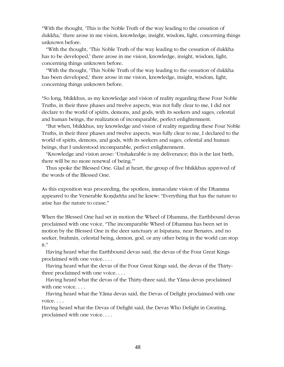"With the thought, 'This is the Noble Truth of the way leading to the cessation of dukkha,' there arose in me vision, knowledge, insight, wisdom, light, concerning things unknown before.

"With the thought, 'This Noble Truth of the way leading to the cessation of dukkha has to be developed,' there arose in me vision, knowledge, insight, wisdom, light, concerning things unknown before.

"With the thought, 'This Noble Truth of the way leading to the cessation of dukkha has been developed,' there arose in me vision, knowledge, insight, wisdom, light, concerning things unknown before.

"So long, bhikkhus, as my knowledge and vision of reality regarding these Four Noble Truths, in their three phases and twelve aspects, was not fully clear to me, I did not declare to the world of spirits, demons, and gods, with its seekers and sages, celestial and human beings, the realization of incomparable, perfect enlightenment.

"But when, bhikkhus, my knowledge and vision of reality regarding these Four Noble Truths, in their three phases and twelve aspects, was fully clear to me, I declared to the world of spirits, demons, and gods, with its seekers and sages, celestial and human beings, that I understood incomparable, perfect enlightenment.

"Knowledge and vision arose: 'Unshakeable is my deliverance; this is the last birth, there will be no more renewal of being.'"

Thus spoke the Blessed One. Glad at heart, the group of five bhikkhus approved of the words of the Blessed One.

As this exposition was proceeding, the spotless, immaculate vision of the Dhamma appeared to the Venerable Kondañña and he knew: "Everything that has the nature to arise has the nature to cease."

When the Blessed One had set in motion the Wheel of Dhamma, the Earthbound devas proclaimed with one voice, "The incomparable Wheel of Dhamma has been set in motion by the Blessed One in the deer sanctuary at Isipatana, near Benares, and no seeker, brahmin, celestial being, demon, god, or any other being in the world can stop it."

Having heard what the Earthbound devas said, the devas of the Four Great Kings proclaimed with one voice. . . .

Having heard what the devas of the Four Great Kings said, the devas of the Thirtythree proclaimed with one voice. . . .

Having heard what the devas of the Thirty-three said, the Yāma devas proclaimed with one voice. . . .

Having heard what the Yæma devas said, the Devas of Delight proclaimed with one voice. . . .

Having heard what the Devas of Delight said, the Devas Who Delight in Creating, proclaimed with one voice. . . .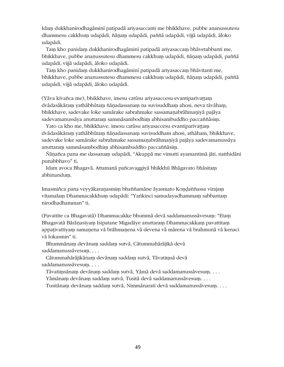Idam dukkhanirodhagāminī patipadā ariyasaccanti me bhikkhave, pubbe ananussutesu dhammesu cakkhum udapādi, ñāņam udapādi, paññā udapādi, vijjā udapādi, āloko udapædi.

Tam kho panidam dukkhanirodhagāminī patipadā ariyasaccam bhāvetabbanti me, bhikkhave, pubbe ananussutesu dhammesu cakkhum udapādi, ñānam udapādi, paññā udapādi, vijjā udapādi, āloko udapādi.

Tam kho panidam dukkhanirodhagāminī patipadā ariyasaccam bhāvitanti me, bhikkhave, pubbe ananussutesu dhammesu cakkhum udapādi, ñānam udapādi, paññā udapādi, vijjā udapādi, āloko udapādi.

(Yāva kīvañca me), bhikkhave, imesu catūsu ariyasaccesu evantiparivattam dvādasākāram yathābhūtam ñānadassanam na suvisuddham ahosi, neva tāvāham, bhikkhave, sadevake loke samārake sabrahmake sassamaņabrāhmaņiyā pajāya sadevamanussāya anuttaram sammāsambodhim abhisambuddho paccaññāsim.

Yato ca kho me, bhikkhave, imesu catūsu ariyasaccesu evantiparivattam dvādasākāram yathābhūtam ñānadassanam suvisuddham ahosi, athāham, bhikkhave, sadevake loke samārake sabrahmake sassamaṇabrāhmaṇiyā pajāya sadevamanussāya anuttaram sammāsambodhim abhisambuddho paccaññāsim.

Ñāṇañca pana me dassanaṃ udapādi, "Akuppā me vimutti ayamantimā jāti, natthidāni punabbhavo" ti.

Idam avoca Bhagavā. Attamanā pañcavaggiyā bhikkhū Bhāgavato bhāsitam abhinandum.

Imasmiñca pana veyyākaranasmim bhaññamāne āyasmato Kondaññassa virajam vītamalam Dhammacakkhum udapādi: "Yaṅkinci samudayadhammaṃ sabbantaṃ nirodhadhamman" ti.

(Pavattite ca Bhagavatā) Dhammacakke bhummā devā saddamanussāvesum: "Etam Bhagavatā Bārānasiyam Isipatane Migadāye anuttaram Dhammacakkam pavattitam appativattiyam samanena vā brāhmanena vā devena vā mārena vā brahmunā vā kenaci vā lokasmin" ti.

Bhummānam devānam saddam sutvā, Cātummahārājikā devā saddamanussāvesum. . . .

Cātummahārājikānam devānam saddam sutvā, Tāvatimsā devā saddamanussāvesum....

Tāvatimsānam devānam saddam sutvā, Yāmā devā saddamanussāvesum. . . .

Yāmānam devānam saddam sutvā, Tusitā devā saddamanussāvesum....

Tusitānam devānam saddam sutvā, Nimmānaratī devā saddamanussāvesum. . . .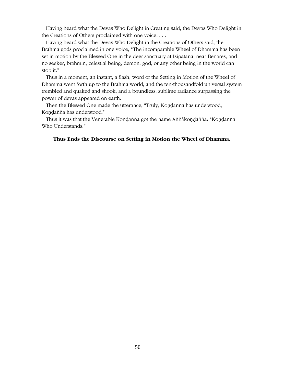Having heard what the Devas Who Delight in Creating said, the Devas Who Delight in the Creations of Others proclaimed with one voice. . . .

Having heard what the Devas Who Delight in the Creations of Others said, the Brahma gods proclaimed in one voice, "The incomparable Wheel of Dhamma has been set in motion by the Blessed One in the deer sanctuary at Isipatana, near Benares, and no seeker, brahmin, celestial being, demon, god, or any other being in the world can stop it."

Thus in a moment, an instant, a flash, word of the Setting in Motion of the Wheel of Dhamma went forth up to the Brahma world, and the ten-thousandfold universal system trembled and quaked and shook, and a boundless, sublime radiance surpassing the power of devas appeared on earth.

Then the Blessed One made the utterance, "Truly, Kondañña has understood, Kondañña has understood!"

Thus it was that the Venerable Kondañña got the name Aññākondañña: "Kondañña Who Understands."

#### **Thus Ends the Discourse on Setting in Motion the Wheel of Dhamma.**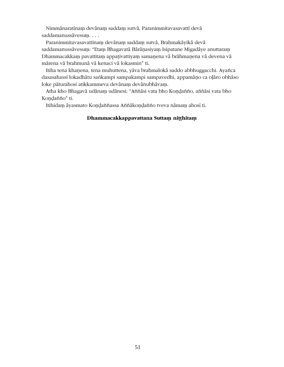Nimmānaratīnam devānam saddam sutvā, Paranimmitavasavattī devā saddamanussāvesum....

Paranimmitavasavattīnam devānam saddam sutvā, Brahmakāyikā devā saddamanussāvesum: "Etam Bhagavatā Bārāṇasiyaṃ Isipatane Migadāye anuttaraṃ Dhammacakkam pavattitam appativattiyam samanena vā brāhmanena vā devena vā mārena vā brahmunā vā kenaci vā lokasmin" ti.

Itiha tena khaņena, tena muhuttena, yāva brahmalokā saddo abbhuggacchi. Ayañca dasasahassī lokadhātu saṅkampi sampakampi sampavedhi, appamāņo ca oḷāro obhāso loke pāturahosi atikkammeva devānam devānubhāvam.

Atha kho Bhagavā udānam udānesi: "Aññāsi vata bho Kondañño, aññāsi vata bho Kondañño" ti.

Itihidam āyasmato Koņdaññassa Aññākoņdañño tveva nāmam ahosī ti.

## Dhammacakkappavattana Suttam nitthitam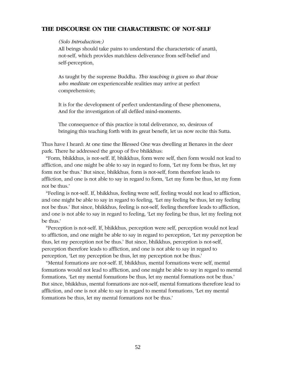## **THE DISCOURSE ON THE CHARACTERISTIC OF NOT-SELF**

#### *(Solo Introduction:)*

All beings should take pains to understand the characteristic of anatta, not-self, which provides matchless deliverance from self-belief and self-perception,

As taught by the supreme Buddha. *This teaching is given so that those who meditate on* experienceable realities may arrive at perfect comprehension;

It is for the development of perfect understanding of these phenomena, And for the investigation of all defiled mind-moments.

The consequence of this practice is total deliverance, so, desirous of bringing this teaching forth with its great benefit, let us now recite this Sutta.

Thus have I heard: At one time the Blessed One was dwelling at Benares in the deer park. There he addressed the group of five bhikkhus:

"Form, bhikkhus, is not-self. If, bhikkhus, form were self, then form would not lead to affliction, and one might be able to say in regard to form, 'Let my form be thus, let my form not be thus.' But since, bhikkhus, form is not-self, form therefore leads to affliction, and one is not able to say in regard to form, 'Let my form be thus, let my form not be thus.'

"Feeling is not-self. If, bhikkhus, feeling were self, feeling would not lead to affliction, and one might be able to say in regard to feeling, 'Let my feeling be thus, let my feeling not be thus.' But since, bhikkhus, feeling is not-self, feeling therefore leads to affliction, and one is not able to say in regard to feeling, 'Let my feeling be thus, let my feeling not be thus.'

"Perception is not-self. If, bhikkhus, perception were self, perception would not lead to affliction, and one might be able to say in regard to perception, 'Let my perception be thus, let my perception not be thus.' But since, bhikkhus, perception is not-self, perception therefore leads to affliction, and one is not able to say in regard to perception, 'Let my perception be thus, let my perception not be thus.'

"Mental formations are not-self. If, bhikkhus, mental formations were self, mental formations would not lead to affliction, and one might be able to say in regard to mental formations, 'Let my mental formations be thus, let my mental formations not be thus.' But since, bhikkhus, mental formations are not-self, mental formations therefore lead to affliction, and one is not able to say in regard to mental formations, 'Let my mental formations be thus, let my mental formations not be thus.'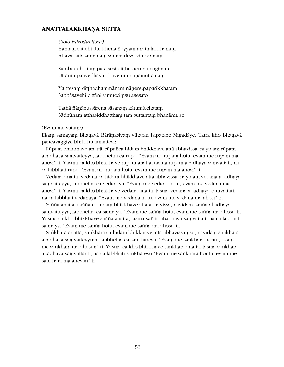## **ANATTALAKKHA¤A SUTTA**

#### *(Solo Introduction:)*

Yantam sattehi dukkhena ñeyyam anattalakkhanam Attavādattasaññāņam sammadeva vimocanam

Sambuddho tam pakāsesi ditthasaccāna yoginam Uttarim pativedhāya bhāvetum ñānamuttamam

Yantesam ditthadhammānam ñānenupaparikkhatam Sabbāsavehi cittāni vimuccimsu asesato

Tathā ñānānussārena sāsanam kātumicchatam Sādhūnam atthasiddhattham tam suttantam bhanāma se

#### (Evam me sutam:)

Ekam samayam Bhagavā Bārāṇasiyam viharati Isipatane Migadāye. Tatra kho Bhagavā pañcavaggiye bhikkhū āmantesi:

Rūpam bhikkhave anattā, rūpañca hidam bhikkhave attā abhavissa, nayidam rūpam ābādhāya samvatteyya, labbhetha ca rūpe, "Evam me rūpam hotu, evam me rūpam mā ahosi" ti. Yasmā ca kho bhikkhave rūpam anattā, tasmā rūpam ābādhāya samvattati, na ca labbhati rūpe, "Evam me rūpam hotu, evam me rūpam mā ahosī" ti.

Vedanā anattā, vedanā ca hidam bhikkhave attā abhavissa, navidam vedanā ābādhāva saṃvatteyya, labbhetha ca vedanāya, "Evaṃ me vedanā hotu, evam me vedanā mā ahosī" ti. Yasmā ca kho bhikkhave vedanā anattā, tasmā vedanā ābādhāya samvattati, na ca labbhati vedanāya, "Evam me vedanā hotu, evam me vedanā mā ahosī" ti.

Saññā anattā, saññā ca hidam bhikkhave attā abhavissa, nayidam saññā ābādhāya samvatteyya, labbhetha ca saññāya, "Evam me saññā hotu, evam me saññā mā ahosī" ti. Yasmā ca kho bhikkhave saññā anattā, tasmā saññā ābādhāya samvattati, na ca labbhati saññāya, "Evam me saññā hotu, evam me saññā mā ahosī" ti.

Sankhārā anattā, sankhārā ca hidam bhikkhave attā abhavissamsu, navidam sankhārā ābādhāya saṃvatteyyuṃ, labbhetha ca saṅkhāresu, "Evaṃ me saṅkhārā hontu, evaṃ me saṅkhārā mā ahesun" ti. Yasmā ca kho bhikkhave saṅkhārā anattā, tasmā saṅkhārā ābādhāya samvattanti, na ca labbhati saṅkhāresu "Evam me saṅkhārā hontu, evam me sankhārā mā ahesun" ti.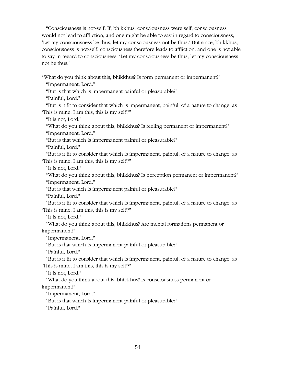"Consciousness is not-self. If, bhikkhus, consciousness were self, consciousness would not lead to affliction, and one might be able to say in regard to consciousness, 'Let my consciousness be thus, let my consciousness not be thus.' But since, bhikkhus, consciousness is not-self, consciousness therefore leads to affliction, and one is not able to say in regard to consciousness, 'Let my consciousness be thus, let my consciousness not be thus.'

"What do you think about this, bhikkhus? Is form permanent or impermanent?" "Impermanent, Lord."

"But is that which is impermanent painful or pleasurable?"

"Painful, Lord."

"But is it fit to consider that which is impermanent, painful, of a nature to change, as 'This is mine, I am this, this is my self'?"

"It is not, Lord."

"What do you think about this, bhikkhus? Is feeling permanent or impermanent?" "Impermanent, Lord."

"But is that which is impermanent painful or pleasurable?"

"Painful, Lord."

"But is it fit to consider that which is impermanent, painful, of a nature to change, as 'This is mine, I am this, this is my self'?"

"It is not, Lord."

"What do you think about this, bhikkhus? Is perception permanent or impermanent?"

"Impermanent, Lord."

"But is that which is impermanent painful or pleasurable?"

"Painful, Lord."

"But is it fit to consider that which is impermanent, painful, of a nature to change, as 'This is mine, I am this, this is my self'?"

"It is not, Lord."

"What do you think about this, bhikkhus? Are mental formations permanent or impermanent?"

"Impermanent, Lord."

"But is that which is impermanent painful or pleasurable?"

"Painful, Lord."

"But is it fit to consider that which is impermanent, painful, of a nature to change, as 'This is mine, I am this, this is my self'?"

"It is not, Lord."

"What do you think about this, bhikkhus? Is consciousness permanent or impermanent?"

"Impermanent, Lord."

"But is that which is impermanent painful or pleasurable?"

"Painful, Lord."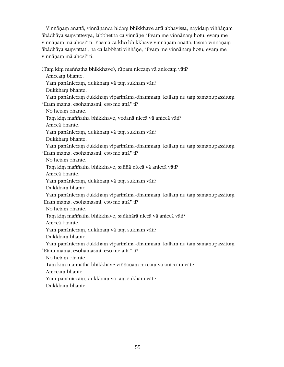Viññānam anattā, viññānañca hidam bhikkhave attā abhavissa, nayidam viññānam ābādhāya saṃvatteyya, labbhetha ca viññāṇe "Evaṃ me viññāṇaṃ hotu, evaṃ me viññānam mā ahosī" ti. Yasmā ca kho bhikkhave viññānam anattā, tasmā viññānam ābādhāya saṃvattati, na ca labbhati viññāṇe, "Evaṃ me viññāṇaṃ hotu, evaṃ me viññānam mā ahosī" ti.

(Tam kim maññatha bhikkhave), rūpam niccam vā aniccam vāti?

Aniccam bhante.

Yam panāniccam, dukkham vā tam sukham vāti?

Dukkham bhante.

Yam panāniccam dukkham viparināma-dhammam, kallam nu tam samanupassitum "Etam mama, esohamasmi, eso me attā" ti?

No hetam bhante.

Tam kim maññatha bhikkhave, vedanā niccā vā aniccā vāti?

Anicca bhante.

Yam panāniccam, dukkham vā tam sukham vāti?

Dukkham bhante.

Yam panāniccam dukkham viparināma-dhammam, kallam nu tam samanupassitum "Etam mama, esohamasmi, eso me attā" ti?

No hetam bhante.

Tam kim maññatha bhikkhave, saññā niccā vā aniccā vāti?

Anicca bhante.

Yam panāniccam, dukkham vā tam sukham vāti?

Dukkham bhante.

Yam panāniccam dukkham viparināma-dhammam, kallam nu tam samanupassitum "Etam mama, esohamasmi, eso me attā" ti?

No hetam bhante.

Tam kim maññatha bhikkhave, sankhārā niccā vā aniccā vāti?

Anicca bhante.

Yam panāniccam, dukkham vā tam sukham vāti?

Dukkham bhante.

Yam panāniccam dukkham viparināma-dhammam, kallam nu tam samanupassitum

"Etam mama, esohamasmi, eso me attā" ti?

No hetam bhante.

Tam kim maññatha bhikkhave, viññāṇaṃ niccaṃ vā aniccaṃ vāti?

Aniccam bhante.

Yam panāniccam, dukkham vā tam sukham vāti?

Dukkham bhante.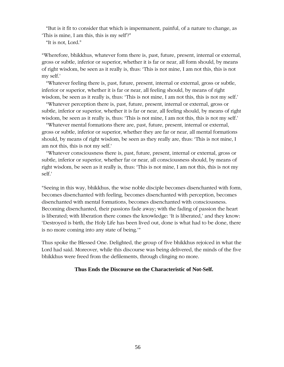"But is it fit to consider that which is impermanent, painful, of a nature to change, as 'This is mine, I am this, this is my self'?"

"It is not, Lord."

"Wherefore, bhikkhus, whatever form there is, past, future, present, internal or external, gross or subtle, inferior or superior, whether it is far or near, all form should, by means of right wisdom, be seen as it really is, thus: 'This is not mine, I am not this, this is not my self.'

"Whatever feeling there is, past, future, present, internal or external, gross or subtle, inferior or superior, whether it is far or near, all feeling should, by means of right wisdom, be seen as it really is, thus: 'This is not mine, I am not this, this is not my self.'

"Whatever perception there is, past, future, present, internal or external, gross or subtle, inferior or superior, whether it is far or near, all feeling should, by means of right wisdom, be seen as it really is, thus: 'This is not mine, I am not this, this is not my self.'

"Whatever mental formations there are, past, future, present, internal or external, gross or subtle, inferior or superior, whether they are far or near, all mental formations should, by means of right wisdom, be seen as they really are, thus: 'This is not mine, I am not this, this is not my self.'

"Whatever consciousness there is, past, future, present, internal or external, gross or subtle, inferior or superior, whether far or near, all consciousness should, by means of right wisdom, be seen as it really is, thus: 'This is not mine, I am not this, this is not my self.'

"Seeing in this way, bhikkhus, the wise noble disciple becomes disenchanted with form, becomes disenchanted with feeling, becomes disenchanted with perception, becomes disenchanted with mental formations, becomes disenchanted with consciousness. Becoming disenchanted, their passions fade away; with the fading of passion the heart is liberated; with liberation there comes the knowledge: 'It is liberated,' and they know: 'Destroyed is birth, the Holy Life has been lived out, done is what had to be done, there is no more coming into any state of being.'"

Thus spoke the Blessed One. Delighted, the group of five bhikkhus rejoiced in what the Lord had said. Moreover, while this discourse was being delivered, the minds of the five bhikkhus were freed from the defilements, through clinging no more.

## **Thus Ends the Discourse on the Characteristic of Not-Self.**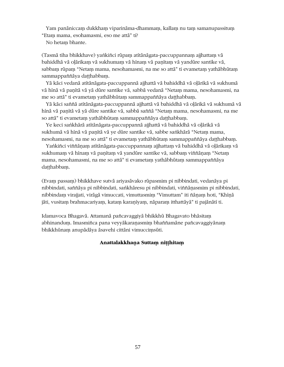Yam panāniccam dukkham viparināma-dhammam, kallam nu tam samanupassitum "Etam mama, esohamasmi, eso me attā" ti?

No hetam bhante.

(Tasmā tiha bhikkhave) yankiñci rūpam atītānāgata-paccuppannam ajjhattam vā bahiddhā vā olārikam vā sukhumam vā hīnam vā panītam vā yandūre santike vā, sabbam rūpam "Netam mama, nesohamasmi, na me so attā" ti evametam yathābhūtam sammappaññāya datthabbam.

Yā kāci vedanā atītānāgata-paccuppannā ajjhattā vā bahiddhā vā olārikā vā sukhumā vā hīnā vā panītā vā yā dūre santike vā, sabbā vedanā "Netam mama, nesohamasmi, na me so attā" ti evametam yathābhūtam sammappaññāya daṭṭhabbaṃ.

Yā kāci saññā atītānāgata-paccuppannā ajjhattā vā bahiddhā vā olārikā vā sukhumā vā hīnā vā panītā vā vā dūre santike vā, sabbā saññā "Netam mama, nesohamasmi, na me so attā" ti evametam yathābhūtam sammappaññāya daṭṭhabbam.

Ye keci sankhārā atītānāgata-paccuppannā ajjhattā vā bahiddhā vā oļārikā vā sukhumā vā hīnā vā panītā vā ye dūre santike vā, sabbe saṅkhārā "Netam mama, nesohamasmi, na me so attā" ti evametam yathābhūtam sammappaññāya datthabbam.

Yankiñci viññānam atītānāgata-paccuppannam ajjhattam vā bahiddhā vā olārikam vā sukhumaṃ vā hīnaṃ vā paṇītaṃ vā yandūre santike vā, sabbaṃ viññāṇaṃ "Netaṃ mama, nesohamasmi, na me so attā" ti evametaṃ yathābhūtaṃ sammappaññāya daṭṭhabbam.

(Evam passam) bhikkhave sutvā ariyasāvako rūpasmim pi nibbindati, vedanāya pi nibbindati, saññāya pi nibbindati, saṅkhāresu pi nibbindati, viññānasmim pi nibbindati, nibbindam virajjati, virāgā vimuccati, vimuttasmim "Vimuttam" iti ñānam hoti, "Khīnā jāti, vusitam brahmacariyam, katam karanīyam, nāparam itthattāyā" ti pajānātī ti.

Idamavoca Bhagavā. Attamanā pañcavaggiyā bhikkhū Bhagavato bhāsitam abhinandum. Imasmiñca pana veyyākaranasmim bhaññamāne pañcavaggiyānam bhikkhūnam anupādāya āsavehi cittāni vimuccimsūti.

## Anattalakkhana Suttam nitthitam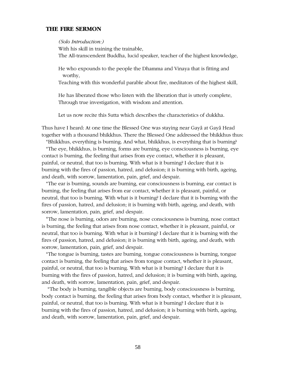## **THE FIRE SERMON**

#### *(Solo Introduction:)*

With his skill in training the trainable, The All-transcendent Buddha, lucid speaker, teacher of the highest knowledge,

He who expounds to the people the Dhamma and Vinaya that is fitting and worthy,

Teaching with this wonderful parable about fire, meditators of the highest skill,

He has liberated those who listen with the liberation that is utterly complete, Through true investigation, with wisdom and attention.

Let us now recite this Sutta which describes the characteristics of dukkha.

Thus have I heard: At one time the Blessed One was staying near Gaya at Gaya Head together with a thousand bhikkhus. There the Blessed One addressed the bhikkhus thus:

"Bhikkhus, everything is burning. And what, bhikkhus, is everything that is burning? "The eye, bhikkhus, is burning, forms are burning, eye consciousness is burning, eye contact is burning, the feeling that arises from eye contact, whether it is pleasant, painful, or neutral, that too is burning. With what is it burning? I declare that it is burning with the fires of passion, hatred, and delusion; it is burning with birth, ageing, and death, with sorrow, lamentation, pain, grief, and despair.

"The ear is burning, sounds are burning, ear consciousness is burning, ear contact is burning, the feeling that arises from ear contact, whether it is pleasant, painful, or neutral, that too is burning. With what is it burning? I declare that it is burning with the fires of passion, hatred, and delusion; it is burning with birth, ageing, and death, with sorrow, lamentation, pain, grief, and despair.

"The nose is burning, odors are burning, nose consciousness is burning, nose contact is burning, the feeling that arises from nose contact, whether it is pleasant, painful, or neutral, that too is burning. With what is it burning? I declare that it is burning with the fires of passion, hatred, and delusion; it is burning with birth, ageing, and death, with sorrow, lamentation, pain, grief, and despair.

"The tongue is burning, tastes are burning, tongue consciousness is burning, tongue contact is burning, the feeling that arises from tongue contact, whether it is pleasant, painful, or neutral, that too is burning. With what is it burning? I declare that it is burning with the fires of passion, hatred, and delusion; it is burning with birth, ageing, and death, with sorrow, lamentation, pain, grief, and despair.

 "The body is burning, tangible objects are burning, body consciousness is burning, body contact is burning, the feeling that arises from body contact, whether it is pleasant, painful, or neutral, that too is burning. With what is it burning? I declare that it is burning with the fires of passion, hatred, and delusion; it is burning with birth, ageing, and death, with sorrow, lamentation, pain, grief, and despair.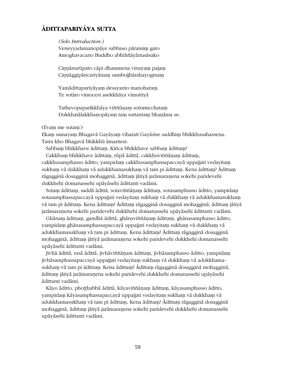## **ÆDITTAPARIYÆYA SUTTA**

*(Solo Introduction:)*

Veneyyadamanopāye sabbaso pāramim gato Amoghavacano Buddho abhiññāyānusāsako

Cinnānurūpato cāpi dhammena vinayam pajam Cinnāggipāricariyānam sambojihārahayoginam

Yamādittapariyāyam desayanto manoharam Te sotāro vimocesi asekkhāya vimuttiyā

Tathevopaparikkhāya viññūnam sotumicchatam Dukkhatālakkhaņopāyam tam suttantam bhaņāma se.

#### (Evam me sutam:)

Ekam samayam Bhagavā Gayāyam viharati Gayāsīse saddhim bhikkhusahassena. Tatra kho Bhagavā bhikkhū āmantesi:

Sabbam bhikkhave ādittam. Kiñca bhikkhave sabbam ādittam?

Cakkhum bhikkhave ādittam, rūpā ādittā, cakkhuviññāņam ādittam, cakkhusamphasso āditto, yampidam cakkhusamphassapaccayā uppajjati vedayitam sukham vā dukkham vā adukkhamasukham vā tam pi ādittam. Kena ādittam? Ādittam rāgagginā dosagginā mohagginā, ādittam jātiyā jarāmaranena sokehi paridevehi dukkhehi domanassehi upāyāsehi ādittanti vadāmi.

Sotam ādittam, saddā ādittā, sotaviññānam ādittam, sotasamphasso āditto, yampidam sotasamphassapaccayā uppajjati vedayitam sukham vā dukkham vā adukkhamasukham vā tam pi ādittam. Kena ādittam? Ādittam rāgagginā dosagginā mohagginā, ādittam jātiyā jarāmaranena sokehi paridevehi dukkhehi domanassehi upāyāsehi ādittanti vadāmi.

Ghānam ādittam, gandhā ādittā, ghānaviññānam ādittam, ghānasamphasso āditto, yampidam ghānasamphassapaccayā uppajjati vedayitam sukham vā dukkham vā adukkhamasukham vā tam pi ādittam. Kena ādittam? Ādittam rāgagginā dosagginā mohagginā, ādittam jātiyā jarāmaraņena sokehi paridevehi dukkhehi domanassehi upāvāsehi ādittanti vadāmi.

Jivhā ādittā, rasā ādittā, jivhāviññānam ādittam, jivhāsamphasso āditto, yampidam jivhāsamphassapaccayā uppajjati vedayitam sukham vā dukkham vā adukkhamasukham vā tam pi ādittam. Kena ādittam? Ādittam rāgagginā dosagginā mohagginā, ādittam jātiyā jarāmaraņena sokehi paridevehi dukkhehi domanassehi upāyāsehi ædittanti vadæmi.

Kāyo āditto, phoṭṭhabbā ādittā, kāyaviññāṇaṃ ādittaṃ, kāyasamphasso āditto, yampidaṃ kāyasamphassapaccayā uppajjati vedayitaṃ sukhaṃ vā dukkhaṃ vā adukkhamasukham vā tam pi ādittam. Kena ādittam? Ādittam rāgagginā dosagginā mohagginā, ādittam jātiyā jarāmaranena sokehi paridevehi dukkhehi domanassehi upāyāsehi ādittanti vadāmi.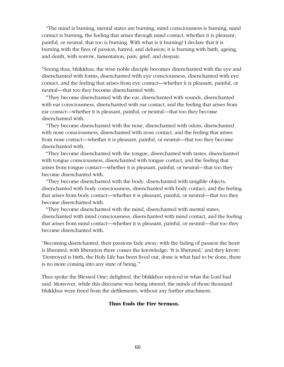"The mind is burning, mental states are burning, mind consciousness is burning, mind contact is burning, the feeling that arises through mind contact, whether it is pleasant, painful, or neutral, that too is burning. With what is it burning? I declare that it is burning with the fires of passion, hatred, and delusion; it is burning with birth, ageing, and death, with sorrow, lamentation, pain, grief, and despair.

"Seeing thus, bhikkhus, the wise noble disciple becomes disenchanted with the eye and disenchanted with forms, disenchanted with eye consciousness, disenchanted with eye contact, and the feeling that arises from eye contact—whether it is pleasant, painful, or neutral—that too they become disenchanted with.

"They become disenchanted with the ear, disenchanted with sounds, disenchanted with ear consciousness, disenchanted with ear contact, and the feeling that arises from ear contact—whether it is pleasant, painful, or neutral—that too they become disenchanted with.

"They become disenchanted with the nose, disenchanted with odors, disenchanted with nose consciousness, disenchanted with nose contact, and the feeling that arises from nose contact—whether it is pleasant, painful, or neutral—that too they become disenchanted with.

"They become disenchanted with the tongue, disenchanted with tastes, disenchanted with tongue consciousness, disenchanted with tongue contact, and the feeling that arises from tongue contact—whether it is pleasant, painful, or neutral—that too they become disenchanted with.

"They become disenchanted with the body, disenchanted with tangible objects, disenchanted with body consciousness, disenchanted with body contact, and the feeling that arises from body contact—whether it is pleasant, painful, or neutral—that too they become disenchanted with.

"They become disenchanted with the mind, disenchanted with mental states, disenchanted with mind consciousness, disenchanted with mind contact, and the feeling that arises from mind contact—whether it is pleasant, painful, or neutral—that too they become disenchanted with.

"Becoming disenchanted, their passions fade away; with the fading of passion the heart is liberated; with liberation there comes the knowledge: 'It is liberated,' and they know: 'Destroyed is birth, the Holy Life has been lived out, done is what had to be done, there is no more coming into any state of being.'"

Thus spoke the Blessed One; delighted, the bhikkhus rejoiced in what the Lord had said. Moreover, while this discourse was being uttered, the minds of those thousand bhikkhus were freed from the defilements, without any further attachment.

#### **Thus Ends the Fire Sermon.**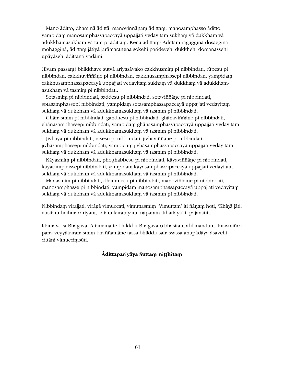Mano āditto, dhammā ādittā, manoviññānam ādittam, manosamphasso āditto, yampidaṃ manosamphassapaccayā uppajjati vedayitaṃ sukhaṃ vā dukkhaṃ vā adukkhamasukham vā tam pi ādittam. Kena ādittam? Ādittam rāgagginā dosagginā mohagginā, ādittam jātiyā jarāmaranena sokehi paridevehi dukkhehi domanassehi upāyāsehi ādittanti vadāmi.

(Evam passam) bhikkhave sutvā ariyasāvako cakkhusmim pi nibbindati, rūpesu pi nibbindati, cakkhuviññāņe pi nibbindati, cakkhusamphassepi nibbindati, yampidam cakkhusamphassapaccayā uppajjati vedayitam sukham vā dukkham vā adukkhamasukham vā tasmim pi nibbindati.

Sotasmim pi nibbindati, saddesu pi nibbindati, sotaviññāņe pi nibbindati, sotasamphassepi nibbindati, yampidam sotasamphassapaccayā uppajjati vedavitam sukham vā dukkham vā adukkhamasukham vā tasmim pi nibbindati.

Ghānasmim pi nibbindati, gandhesu pi nibbindati, ghānaviññāne pi nibbindati, ghānasamphassepi nibbindati, yampidam ghānasamphassapaccayā uppajjati vedayitam sukham vā dukkham vā adukkhamasukham vā tasmim pi nibbindati.

Jivhāya pi nibbindati, rasesu pi nibbindati, jivhāviññāne pi nibbindati, jivhāsamphassepi nibbindati, yampidam jivhāsamphassapaccayā uppajjati vedayitam sukham vā dukkham vā adukkhamasukham vā tasmim pi nibbindati.

Kāyasmim pi nibbindati, phoṭṭhabbesu pi nibbindati, kāyaviññāṇe pi nibbindati, kāyasamphassepi nibbindati, yampidam kāyasamphassapaccayā uppajjati vedayitam sukham vā dukkham vā adukkhamasukham vā tasmim pi nibbindati.

Manasmim pi nibbindati, dhammesu pi nibbindati, manoviññāne pi nibbindati, manosamphasse pi nibbindati, yampidam manosamphassapaccayā uppajjati vedayitam sukham vā dukkham vā adukkhamasukham vā tasmim pi nibbindati.

Nibbindam virajjati, virāgā vimuccati, vimuttasmim 'Vimuttam' iti ñānam hoti, 'Khīnā jāti, vusitam brahmacariyam, katam karanīyam, nāparam itthattāyā' ti pajānātīti.

Idamavoca Bhagavā. Attamanā te bhikkhū Bhagavato bhāsitaṃ abhinanduṃ. Imasmiñca pana veyyākaranasmim bhaññamāne tassa bhikkhusahassassa anupādāya āsavehi cittāni vimuccimsūti.

## **Ædittapariyæya Suttaµ ni¥¥hitaµ**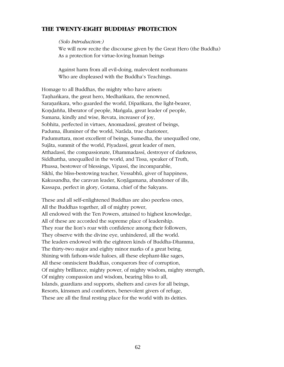## **THE TWENTY-EIGHT BUDDHAS' PROTECTION**

#### *(Solo Introduction:)*

We will now recite the discourse given by the Great Hero (the Buddha) As a protection for virtue-loving human beings

Against harm from all evil-doing, malevolent nonhumans Who are displeased with the Buddha's Teachings.

Homage to all Buddhas, the mighty who have arisen: Tanhankara, the great hero, Medhankara, the renowned, Saranankara, who guarded the world, Dipankara, the light-bearer, Kondañña, liberator of people, Mangala, great leader of people, Sumana, kindly and wise, Revata, increaser of joy, Sobhita, perfected in virtues, Anomadassi, greatest of beings, Paduma, illuminer of the world, Narāda, true charioteer, Padumuttara, most excellent of beings, Sumedha, the unequalled one, Sujāta, summit of the world, Piyadassi, great leader of men, Atthadassi, the compassionate, Dhammadassi, destroyer of darkness, Siddhattha, unequalled in the world, and Tissa, speaker of Truth, Phussa, bestower of blessings, Vipassi, the incomparable, Sikhi, the bliss-bestowing teacher, Vessabhū, giver of happiness, Kakusandha, the caravan leader, Konāgamana, abandoner of ills, Kassapa, perfect in glory, Gotama, chief of the Sakyans.

These and all self-enlightened Buddhas are also peerless ones, All the Buddhas together, all of mighty power, All endowed with the Ten Powers, attained to highest knowledge, All of these are accorded the supreme place of leadership. They roar the lion's roar with confidence among their followers, They observe with the divine eye, unhindered, all the world. The leaders endowed with the eighteen kinds of Buddha-Dhamma, The thirty-two major and eighty minor marks of a great being, Shining with fathom-wide haloes, all these elephant-like sages, All these omniscient Buddhas, conquerors free of corruption, Of mighty brilliance, mighty power, of mighty wisdom, mighty strength, Of mighty compassion and wisdom, bearing bliss to all, Islands, guardians and supports, shelters and caves for all beings, Resorts, kinsmen and comforters, benevolent givers of refuge, These are all the final resting place for the world with its deities.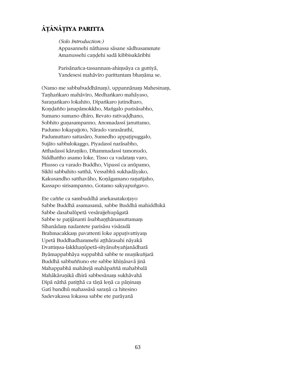## ĀŢĀNĀŢIYA PARITTA

(Solo Introduction:)

Appasannehi nāthassa sāsane sādhusammate Amanussehi candehi sadā kibbisakāribhi

Parisānañca-tassannam-ahimsāya ca guttiyā, Yandesesi mahāvīro parittantam bhaņāma se.

(Namo me sabbabuddhānam), uppannānam Mahesinam, Tanhankaro mahāviro, Medhankaro mahāyaso, Saranankaro lokahito, Dipankaro jutindharo, Koņdañño janapāmokkho, Mangalo purisāsabho, Sumano sumano dhiro, Revato rativaddhano, Sobhito gunasampanno, Anomadassi januttamo, Padumo lokapajjoto, Nārado varasārathī, Padumuttaro sattasāro, Sumedho appaṭipuggalo, Sujāto sabbalokaggo, Piyadassī narāsabho, Atthadassi kāruņiko, Dhammadassi tamonudo, Siddhattho asamo loke, Tisso ca vadatam varo, Phusso ca varado Buddho, Vipassi ca anūpamo, Sikhī sabbahito satthā, Vessabhū sukhadāyako, Kakusandho satthavāho, Konāgamano ranañjaho, Kassapo sirisampanno, Gotamo sakyapungavo.

Ete caññe ca sambuddhā anekasatakotayo Sabbe Buddhā asamasamā, sabbe Buddhā mahiddhikā Sabbe dasabalūpetā vesārajjehupāgatā Sabbe te patijānanti āsabhanthānamuttamam Sīhanādam nadantete parisāsu visāradā Brahmacakkam pavattenti loke appativattiyam Upetā Buddhadhammehi atthārasahi nāyakā Dvattimsa-lakkhanūpetā-sītyānubyañjanādharā Byāmappabhāya suppabhā sabbe te muņikuñjarā Buddhā sabbaññuno ete sabbe khināsavā jinā Mahappabhā mahātejā mahāpaññā mahabbalā Mahākāruņikā dhīrā sabbesānam sukhāvahā Dīpā nāthā patițțhā ca tāņā leņā ca pāņinam Gatī bandhū mahassāsā saranā ca hitesino Sadevakassa lokassa sabbe ete parāyanā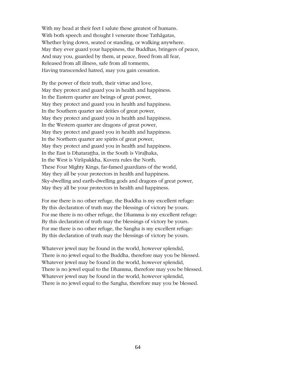With my head at their feet I salute these greatest of humans. With both speech and thought I venerate those Tathāgatas, Whether lying down, seated or standing, or walking anywhere. May they ever guard your happiness, the Buddhas, bringers of peace, And may you, guarded by them, at peace, freed from all fear, Released from all illness, safe from all torments, Having transcended hatred, may you gain cessation.

By the power of their truth, their virtue and love, May they protect and guard you in health and happiness. In the Eastern quarter are beings of great power, May they protect and guard you in health and happiness. In the Southern quarter are deities of great power, May they protect and guard you in health and happiness. In the Western quarter are dragons of great power, May they protect and guard you in health and happiness. In the Northern quarter are spirits of great power, May they protect and guard you in health and happiness. In the East is Dhatarattha, in the South is Virulhaka, In the West is Virūpakkha, Kuvera rules the North. These Four Mighty Kings, far-famed guardians of the world, May they all be your protectors in health and happiness. Sky-dwelling and earth-dwelling gods and dragons of great power, May they all be your protectors in health and happiness.

For me there is no other refuge, the Buddha is my excellent refuge: By this declaration of truth may the blessings of victory be yours. For me there is no other refuge, the Dhamma is my excellent refuge: By this declaration of truth may the blessings of victory be yours. For me there is no other refuge, the Sangha is my excellent refuge: By this declaration of truth may the blessings of victory be yours.

Whatever jewel may be found in the world, however splendid, There is no jewel equal to the Buddha, therefore may you be blessed. Whatever jewel may be found in the world, however splendid, There is no jewel equal to the Dhamma, therefore may you be blessed. Whatever jewel may be found in the world, however splendid, There is no jewel equal to the Sangha, therefore may you be blessed.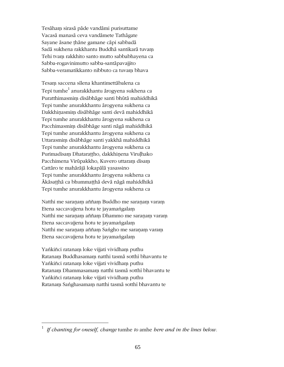Tesāham sirasā pāde vandāmi purisuttame Vacasā manasā ceva vandāmete Tathāgate Sayane āsane thāne gamane cāpi sabbadā Sadā sukhena rakkhantu Buddhā santikarā tuvam Tehi tvam rakkhito santo mutto sabbabhayena ca Sabba-rogavinimutto sabba-santāpavajjito Sabba-veramatikkanto nibbuto ca tuvam bhava

Tesaṃ saccena sīlena khantimettābalena ca Tepi tumhe $^{\rm l}$  anurakkhantu ārogyena sukhena ca Puratthimasmim disābhāge santi bhūtā mahiddhikā Tepi tumhe anurakkhantu ārogyena sukhena ca Dakkhinasmim disābhāge santi devā mahiddhikā Tepi tumhe anurakkhantu ārogyena sukhena ca Pacchimasmim disābhāge santi nāgā mahiddhikā Tepi tumhe anurakkhantu ārogyena sukhena ca Uttarasmim disābhāge santi yakkhā mahiddhikā Tepi tumhe anurakkhantu ārogyena sukhena ca Purimadisam Dhatarattho, dakkhinena Virulhako Pacchimena Virūpakkho, Kuvero uttaram disam Cattāro te mahārājā lokapālā yasassino Tepi tumhe anurakkhantu ārogyena sukhena ca Ākāsaṭṭhā ca bhummaṭṭhā devā nāgā mahiddhikā Tepi tumhe anurakkhantu ārogyena sukhena ca

Natthi me saraṇaṃ aññaṃ Buddho me saraṇaṃ varaṃ Etena saccavajjena hotu te jayamangalam Natthi me saraṇaṃ aññaṃ Dhammo me saraṇaṃ varaṃ Etena saccavajjena hotu te jayamangalam Natthi me saranam aññam Saṅgho me saranam varam Etena saccavajjena hotu te jayamangalam

Yankiñci ratanam loke vijjati vividham puthu Ratanam Buddhasamam natthi tasmā sotthī bhavantu te Yankiñci ratanam loke vijjati vividham puthu Ratanam Dhammasamam natthi tasmā sotthī bhavantu te Yankiñci ratanam loke vijjati vividham puthu Ratanam Sanghasamam natthi tasmā sotthī bhavantu te

 $\overline{a}$ 

<sup>1</sup> *If chanting for oneself, change* tumhe *to* amhe *here and in the lines below.*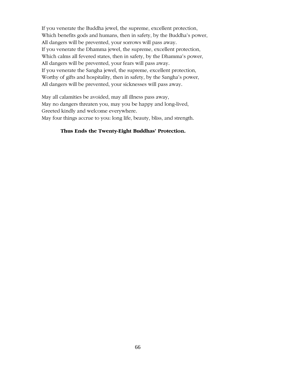If you venerate the Buddha jewel, the supreme, excellent protection, Which benefits gods and humans, then in safety, by the Buddha's power, All dangers will be prevented, your sorrows will pass away. If you venerate the Dhamma jewel, the supreme, excellent protection, Which calms all fevered states, then in safety, by the Dhamma's power, All dangers will be prevented, your fears will pass away. If you venerate the Sangha jewel, the supreme, excellent protection, Worthy of gifts and hospitality, then in safety, by the Sangha's power, All dangers will be prevented, your sicknesses will pass away.

May all calamities be avoided, may all illness pass away, May no dangers threaten you, may you be happy and long-lived, Greeted kindly and welcome everywhere. May four things accrue to you: long life, beauty, bliss, and strength.

## **Thus Ends the Twenty-Eight Buddhas' Protection.**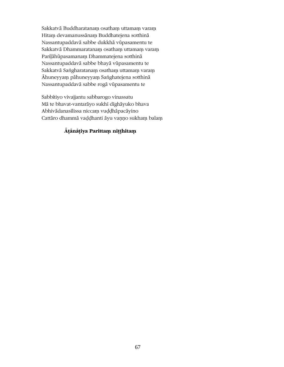Sakkatvā Buddharatanam osatham uttamam varam Hitam devamanussänam Buddhatejena sotthinä Nassantupaddavā sabbe dukkhā vūpasamentu te Sakkatvā Dhammaratanam osatham uttamam varam Pariļāhūpasamanam Dhammatejena sotthinā Nassantupaddavā sabbe bhayā vūpasamentu te Sakkatvā Saṅgharatanaṃ osathaṃ uttamaṃ varaṃ Āhuneyyam pāhuneyyam Sanghatejena sotthinā Nassantupaddavā sabbe rogā vūpasamentu te

Sabbītiyo vivajjantu sabbarogo vinassatu Mā te bhavat-vantarāyo sukhī dīghāyuko bhava Abhivādanasīlissa niccam vuddhāpacāyino Cattāro dhammā vaḍḍhanti āyu vanno sukham balam

## **Æ¥ænæ¥iya Parittaµ ni¥¥hitaµ**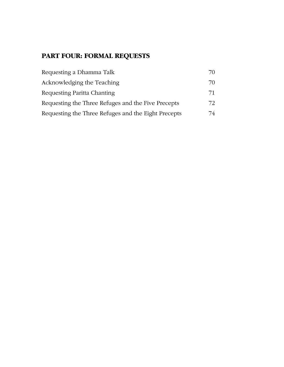# **PART FOUR: FORMAL REQUESTS**

| Requesting a Dhamma Talk                            | 70 |
|-----------------------------------------------------|----|
| Acknowledging the Teaching                          | 70 |
| Requesting Paritta Chanting                         | 71 |
| Requesting the Three Refuges and the Five Precepts  | 72 |
| Requesting the Three Refuges and the Eight Precepts | 74 |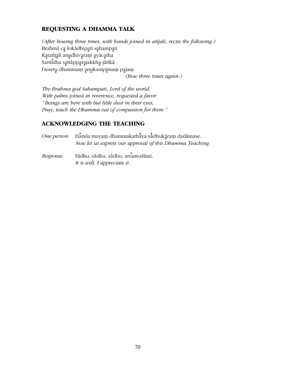## REQUESTING A DHAMMA TALK

(After bowing three times, with hands joined in añjali, recite the following.) Brahmā ca lokādhipatī sahampati Katañjali anadhivaram ayācatha Santidha sattāpparajakkha-jātikā Desetu dhammam anukampimam pajam

(Bow three times again.)

The Brahma god Sahampati, Lord of the world, With palms joined in reverence, requested a favor: "Beings are here with but little dust in their eyes, Pray, teach the Dhamma out of compassion for them."

## **ACKNOWLEDGING THE TEACHING**

| One person: Handa mayam dhammakathāya sādhukāram dadāmase. |  |
|------------------------------------------------------------|--|
| Now let us express our approval of this Dhamma Teaching.   |  |
| Bechereno Sādhu sādhu sādhu saumadāmi                      |  |

Sādhu, sādhu, sādhu, anumodāmi. *Response:* It is well, I appreciate it.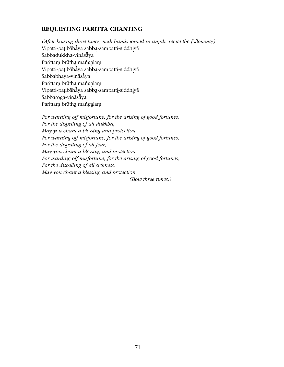## **REQUESTING PARITTA CHANTING**

*(After bowing three times, with hands joined in añjali, recite the following:)* Vipatti-paṭibāhāya sabba-sampatti-siddhiyā Sabbadukkha-vināsaya Parittam brūtha mangalam Vipatti-paṭibāhāya sabba-sampatti-siddhiyā Sabbabhaya-vināsaya Parittam brūtha mangalam Vipatti-paṭibāhāya sabba-sampatti-siddhiyā Sabbaroga-vināsāya Parittam brūtha mangalam

*For warding off misfortune, for the arising of good fortunes, For the dispelling of all dukkha, May you chant a blessing and protection. For warding off misfortune, for the arising of good fortunes, For the dispelling of all fear, May you chant a blessing and protection. For warding off misfortune, for the arising of good fortunes, For the dispelling of all sickness, May you chant a blessing and protection. (Bow three times.)*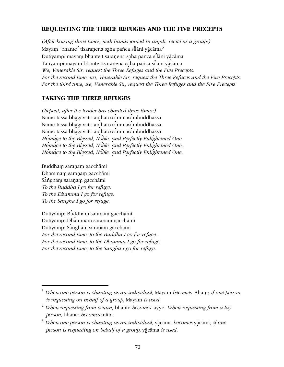## **REQUESTING THE THREE REFUGES AND THE FIVE PRECEPTS**

*(After bowing three times, with hands joined in añjali, recite as a group:)* Mayaṃ $^1$  bhante $^2$  tisaraṇena sa̯ha pañca sil̄lāni yā̯cāma $^3$ Dutiyampi mayam bhante tisaranena saha pañca silāni yācāma Tatiyampi mayaṃ bhante tisaraṇena saha pañca silāni yācāma *We, Venerable Sir, request the Three Refuges and the Five Precepts. For the second time, we, Venerable Sir, request the Three Refuges and the Five Precepts. For the third time, we, Venerable Sir, request the Three Refuges and the Five Precepts.*

## **TAKING THE THREE REFUGES**

*(Repeat, after the leader has chanted three times:)* Namo tassa bhagavato arahato sammāsambuddhassa Namo tassa bhagavato arahato sammāsambuddhassa Namo tassa bhagavato arahato sammās ambuddhassa Homage to the Blessed, Noble, and Perfectly Enlightened One. Homage to the Blessed, Noble, and Perfectly Enlightened One. Homage to the Blessed, Noble, and Perfectly Enlightened One.

Buddham saranam gacchāmi Dhammam saranam gacchāmi Sangham saranam gacchāmi *To the Buddha I go for refuge. To the Dhamma I go for refuge. To the Sangha I go for refuge.*

 $\overline{a}$ 

Dutiyampi Buddham saranam gacchāmi Dutiyampi Dhammam saranam gacchāmi Dutiyampi Sangham saranam gacchāmi *For the second time, to the Buddha I go for refuge. For the second time, to the Dhamma I go for refuge. For the second time, to the Sangha I go for refuge.*

<sup>&</sup>lt;sup>1</sup> When one person is chanting as an individual, Mayam becomes Aham; if one person *is requesting on behalf of a group*, Mayam *is used.* 

<sup>2</sup> *When requesting from a nun,* bhante *becomes* ayye. *When requesting from a lay person,* bhante *becomes* mitta.

<sup>&</sup>lt;sup>3</sup> When one person is chanting as an individual, yācāma becomes yācāmi; *if one person is requesting on behalf of a group, yācāma is used.*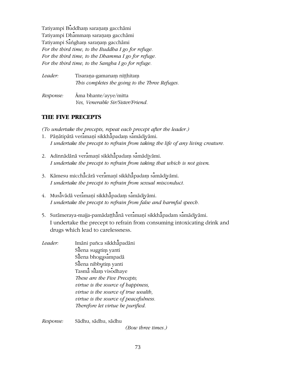Tatiyampi Buddham saranam gacchāmi Tatiyampi Dhammam saranam gacchāmi Tatiyampi Sangham saranam gacchāmi *For the third time, to the Buddha I go for refuge. For the third time, to the Dhamma I go for refuge. For the third time, to the Sangha I go for refuge.*

| Leader:   | Tisarana-gamanam nitthitam<br>This completes the going to the Three Refuges. |
|-----------|------------------------------------------------------------------------------|
| Response: | Ama bhante/ayye/mitta<br>Yes, Venerable Sir/Sister/Friend.                   |

# **THE FIVE PRECEPTS**

*(To undertake the precepts, repeat each precept after the leader.)*

- 1. Pāņātipātā veramaņī sikkhāpadam samādiyāmi. *I undertake the precept to refrain from taking the life of any living creature.*
- 2. Adinnādānā veramaņī sikkhāpadam samādiyāmi. *I undertake the precept to refrain from taking that which is not given*.
- 3. Kāmesu micchācārā veramaņī sikkhāpadam samādiyāmi. *I undertake the precept to refrain from sexual misconduct.*
- 4. Musāvādā veramaņī sikkhāpadam samādiyāmi. *I undertake the precept to refrain from false and harmful speech.*
- 5. Surāmeraya-majja-pamādaṭṭhānā veramaṇī sikkhāpadam samādiyāmi. I undertake the precept to refrain from consuming intoxicating drink and drugs which lead to carelessness.
- *Leader:* Imāni pañca sikkhāpadāni Sīlena sugatim yanti Silena bhogasampadā Silena nibbutim yanti Tasmā silam visodhaye *These are the Five Precepts; virtue is the source of happiness, virtue is the source of true wealth, virtue is the source of peacefulness. Therefore let virtue be purified.*

*Response:* Sædhu, sædhu, sædhu

*(Bow three times.)*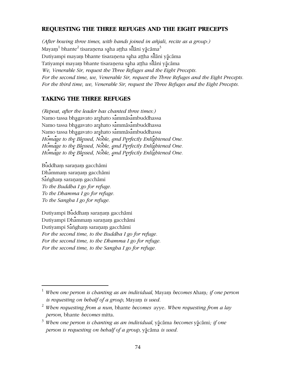# REQUESTING THE THREE REFUGES AND THE EIGHT PRECEPTS

(After bowing three times, with hands joined in añjali, recite as a group:) Mayam<sup>1</sup> bhante<sup>2</sup> tisaranena saha attha silani yacama<sup>3</sup> Dutiyampi mayam bhante tisaranena saha attha silāni yācāma Tatiyampi mayam bhante tisaranena saha aṭṭha silāni yācāma We, Venerable Sir, request the Three Refuges and the Eight Precepts. For the second time, we, Venerable Sir, request the Three Refuges and the Eight Precepts. For the third time, we, Venerable Sir, request the Three Refuges and the Eight Precepts.

## **TAKING THE THREE REFUGES**

(Repeat, after the leader has chanted three times:) Namo tassa bhagavato arahato sammāsambuddhassa Namo tassa bhagavato arahato sammāsambuddhassa Namo tassa bhagavato arahato sammāsambuddhassa Homage to the Blessed, Noble, and Perfectly Enlightened One. Homage to the Blessed, Noble, and Perfectly Enlightened One. Homage to the Blessed, Noble, and Perfectly Enlightened One.

Buddham saranam gacchāmi Dhammam saranam gacchāmi Sangham saranam gacchāmi To the Buddha I go for refuge. To the Dhamma I go for refuge. To the Sangha I go for refuge.

Dutiyampi Buddham saranam gacchāmi Dutiyampi Dhammam saranam gacchāmi Dutiyampi Sangham saranam gacchāmi For the second time, to the Buddha I go for refuge. For the second time, to the Dhamma I go for refuge. For the second time, to the Sangha I go for refuge.

 $1$  When one person is chanting as an individual, Mayam becomes Aham; if one person is requesting on behalf of a group, Mayam is used.

 $\frac{2}{3}$  When requesting from a nun, bhante becomes ayye. When requesting from a lay person, bhante becomes mitta.

 $3$  When one person is chanting as an individual, yācāma becomes yācāmi; if one person is requesting on behalf of a group, yācāma is used.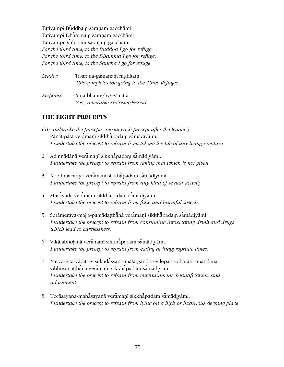Tatiyampi Buddham saranam gacchāmi Tatiyampi Dhammam saraṇaṃ gacchāmi Tatiyampi Sangham saranam gacchāmi *For the third time, to the Buddha I go for refuge. For the third time, to the Dhamma I go for refuge. For the third time, to the Sangha I go for refuge.*

| Leader:   | Tisarana-gamanam nitthitam<br>This completes the going to the Three Refuges. |
|-----------|------------------------------------------------------------------------------|
| Response: | Ama bhante/ayye/mitta<br>Yes, Venerable Sir/Sister/Friend.                   |

# **THE EIGHT PRECEPTS**

*(To undertake the precepts, repeat each precept after the leader.)*

- 1. Pāņātipātā veramaņī sikkhāpadam samādiyāmi. *I undertake the precept to refrain from taking the life of any living creature.*
- 2. Adinnādānā veramaņī sikkhāpadam samādiyāmi. *I undertake the precept to refrain from taking that which is not given.*
- 3. Abrahmacariyā veramaņī sikkhāpadam samādiyāmi. *I undertake the precept to refrain from any kind of sexual activity.*
- 4. Musāvādā veramaņī sikkhāpadam samādiyāmi. *I undertake the precept to refrain from false and harmful speech.*
- 5. Surāmeraya-majja-pamādaṭṭhā̄nā veramaṇī sikkhā̄padaṃ samādiyāmi. *I undertake the precept to refrain from consuming intoxicating drink and drugs which lead to carelessness.*
- 6. Vikālabhojanā veramaņī sikkhāpadam samādiyāmi. *I undertake the precept to refrain from eating at inappropriate times.*
- 7. Nacca-gīta-vādita-visūkadassanā-mālā-gandha-vilepana-dhārana-mandana vibhūsanaṭṭhānā veramaṇī sikkhāpadam samādiyāmi. *I undertake the precept to refrain from entertainment, beautification, and adornment.*
- 8. Uccāsayana-mahāsayanā veramanī sikkhāpadam samādiyāmi. *I undertake the precept to refrain from lying on a high or luxurious sleeping place.*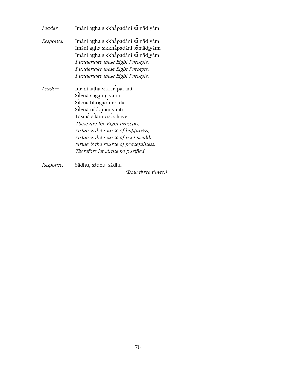| Leader:   | Imāni aṭṭha sikkhāpadāni samādiyāmi                                                                                                                                                                                                                                                                                    |
|-----------|------------------------------------------------------------------------------------------------------------------------------------------------------------------------------------------------------------------------------------------------------------------------------------------------------------------------|
| Response: | Imāni ațțha sikkhāpadāni samādiyāmi<br>Imāni attha sikkhāpadāni samādiyāmi<br>Imāni attha sikkhāpadāni samādiyāmi<br>I undertake these Eight Precepts.<br>I undertake these Eight Precepts.<br>I undertake these Eight Precepts.                                                                                       |
| Leader:   | Imāni aṭṭha sikkhāpadāni<br>Sīlena sugatim yanti<br>Silena bhogasampadā<br>Silena nibbutim yanti<br>Tasmā sīlam visodhaye<br>These are the Eight Precepts;<br>virtue is the source of happiness,<br>virtue is the source of true wealth,<br>virtue is the source of peacefulness.<br>Therefore let virtue be purified. |
| Response: | Sādhu, sādhu, sādhu                                                                                                                                                                                                                                                                                                    |

(Bow three times.)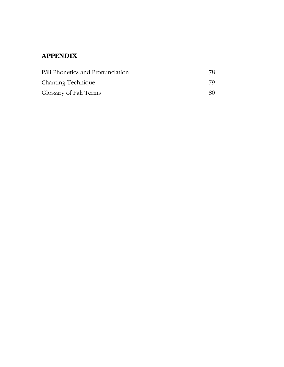# **APPENDIX**

| Pali Phonetics and Pronunciation |     |
|----------------------------------|-----|
| Chanting Technique               | 79  |
| Glossary of Pali Terms           | 80. |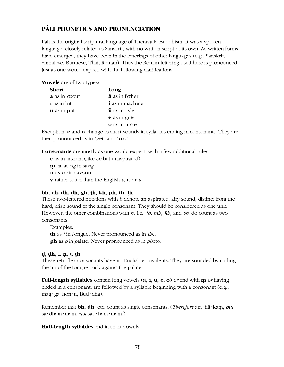# **PALI PHONETICS AND PRONUNCIATION**

Pāli is the original scriptural language of Theravāda Buddhism. It was a spoken language, closely related to Sanskrit, with no written script of its own. As written forms have emerged, they have been in the letterings of other languages (e.g., Sanskrit, Sinhalese, Burmese, Thai, Roman). Thus the Roman lettering used here is pronounced just as one would expect, with the following clarifications.

**Vowels** are of two types:

| <b>Short</b>              | Long                               |
|---------------------------|------------------------------------|
| <b>a</b> as in about      | $\bar{a}$ as in father             |
| $\mathbf i$ as in h $\pi$ | $\mathbf i$ as in mach <i>i</i> ne |
| $\mathbf u$ as in put     | $\bar{\mathbf{u}}$ as in rule      |
|                           | <b>e</b> as in grey                |
|                           | $\Omega$ as in more                |

Exception: **e** and **o** change to short sounds in syllables ending in consonants. They are then pronounced as in "get" and "ox."

**Consonants** are mostly as one would expect, with a few additional rules:

**c** as in an*c*ient (like *ch* but unaspirated)

**n**, **n** as *ng* in sang **ñ** as *ny* in ca*ny*on **v** rather softer than the English *v;* near *w*

# **bh, ch, dh, ðh, gh, jh, kh, ph, th, ¥h**

These two-lettered notations with *h* denote an aspirated, airy sound, distinct from the hard, crisp sound of the single consonant. They should be considered as one unit. However, the other combinations with *h,* i.e., *lh, mh, ñh,* and *vh,* do count as two consonants.

Examples: **th** as *t* in *t* ongue. Never pronounced as in *th*e. **ph** as *p* in *p*alate. Never pronounced as in *ph*oto.

### **ð, ðh, ¹, ¼, ¥, ¥h**

These retroflex consonants have no English equivalents. They are sounded by curling the tip of the tongue back against the palate.

**Full-length syllables** contain long vowels **(æ, ø, þ, e, o)** *or* end with **µ** *or* having ended in a consonant, are followed by a syllable beginning with a consonant (e.g., mag·ga, hon·ti, Bud·dha).

Remember that **bh, dh,** etc. count as single consonants. (*Therefore* am·hā·kam, *but* sa·dham·mam, *not* sad·ham·mam.)

**Half-length syllables** end in short vowels.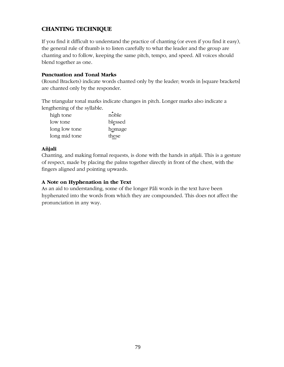# **CHANTING TECHNIQUE**

If you find it difficult to understand the practice of chanting (or even if you find it easy), the general rule of thumb is to listen carefully to what the leader and the group are chanting and to follow, keeping the same pitch, tempo, and speed. All voices should blend together as one.

#### **Punctuation and Tonal Marks**

(Round Brackets) indicate words chanted only by the leader; words in [square brackets] are chanted only by the responder.

The triangular tonal marks indicate changes in pitch. Longer marks also indicate a lengthening of the syllable.

| high tone     | noble   |
|---------------|---------|
| low tone      | blessed |
| long low tone | homage  |
| long mid tone | these   |

### **Añjali**

Chanting, and making formal requests, is done with the hands in añjali. This is a gesture of respect, made by placing the palms together directly in front of the chest, with the fingers aligned and pointing upwards.

### **A Note on Hyphenation in the Text**

As an aid to understanding, some of the longer Pāli words in the text have been hyphenated into the words from which they are compounded. This does not affect the pronunciation in any way.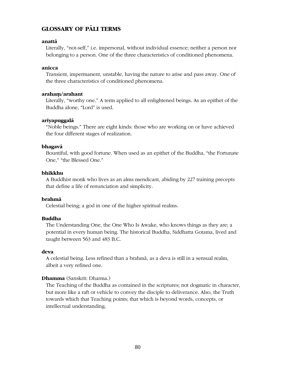# **GLOSSARY OF PALI TERMS**

#### **anattæ**

Literally, "not-self," i.e. impersonal, without individual essence; neither a person nor belonging to a person. One of the three characteristics of conditioned phenomena.

#### **anicca**

Transient, impermanent, unstable, having the nature to arise and pass away. One of the three characteristics of conditioned phenomena.

#### **arahaµ/arahant**

Literally, "worthy one." A term applied to all enlightened beings. As an epithet of the Buddha alone, "Lord" is used.

#### **ariyapuggalæ**

"Noble beings." There are eight kinds: those who are working on or have achieved the four different stages of realization.

#### **bhagavæ**

Bountiful, with good fortune. When used as an epithet of the Buddha, "the Fortunate One," "the Blessed One."

#### **bhikkhu**

A Buddhist monk who lives as an alms mendicant, abiding by 227 training precepts that define a life of renunciation and simplicity.

#### **brahmæ**

Celestial being; a god in one of the higher spiritual realms.

#### **Buddha**

The Understanding One, the One Who Is Awake, who knows things as they are; a potential in every human being. The historical Buddha, Siddhatta Gotama, lived and taught between 563 and 483 B.C.

#### **deva**

A celestial being. Less refined than a brahmæ, as a deva is still in a sensual realm, albeit a very refined one.

#### **Dhamma** (Sanskrit: Dharma.)

The Teaching of the Buddha as contained in the scriptures; not dogmatic in character, but more like a raft or vehicle to convey the disciple to deliverance. Also, the Truth towards which that Teaching points; that which is beyond words, concepts, or intellectual understanding.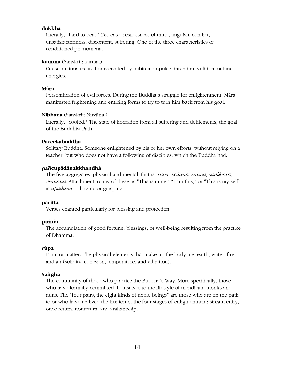#### **dukkha**

Literally, "hard to bear." Dis-ease, restlessness of mind, anguish, conflict, unsatisfactoriness, discontent, suffering. One of the three characteristics of conditioned phenomena.

#### **kamma** (Sanskrit: karma.)

Cause; actions created or recreated by habitual impulse, intention, volition, natural energies.

#### **Mæra**

Personification of evil forces. During the Buddha's struggle for enlightenment, Mæra manifested frightening and enticing forms to try to turn him back from his goal.

#### Nibbāna (Sanskrit: Nirvāna.)

Literally, "cooled." The state of liberation from all suffering and defilements, the goal of the Buddhist Path.

#### **Paccekabuddha**

Solitary Buddha. Someone enlightened by his or her own efforts, without relying on a teacher, but who does not have a following of disciples, which the Buddha had.

#### **pañcupædænakkhandhæ**

The five aggregates, physical and mental, that is: *rūpa, vedanā, saññā, saṅkhārā*, *viññāna*. Attachment to any of these as "This is mine," "I am this," or "This is my self" is *upædæna*—clinging or grasping.

#### **paritta**

Verses chanted particularly for blessing and protection.

#### **puñña**

The accumulation of good fortune, blessings, or well-being resulting from the practice of Dhamma.

#### rūpa

Form or matter. The physical elements that make up the body, i.e. earth, water, fire, and air (solidity, cohesion, temperature, and vibration).

#### **Sa³gha**

The community of those who practice the Buddha's Way. More specifically, those who have formally committed themselves to the lifestyle of mendicant monks and nuns. The "four pairs, the eight kinds of noble beings" are those who are on the path to or who have realized the fruition of the four stages of enlightenment: stream entry, once return, nonreturn, and arahantship.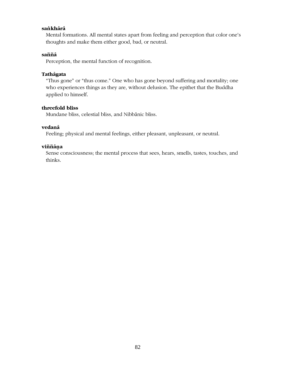#### sa*n*khārā

Mental formations. All mental states apart from feeling and perception that color one's thoughts and make them either good, bad, or neutral.

#### **saññæ**

Perception, the mental function of recognition.

#### **Tathægata**

"Thus gone" or "thus come." One who has gone beyond suffering and mortality; one who experiences things as they are, without delusion. The epithet that the Buddha applied to himself.

#### **threefold bliss**

Mundane bliss, celestial bliss, and Nibbānic bliss.

#### **vedanæ**

Feeling; physical and mental feelings, either pleasant, unpleasant, or neutral.

#### **viññæ¼a**

Sense consciousness; the mental process that sees, hears, smells, tastes, touches, and thinks.